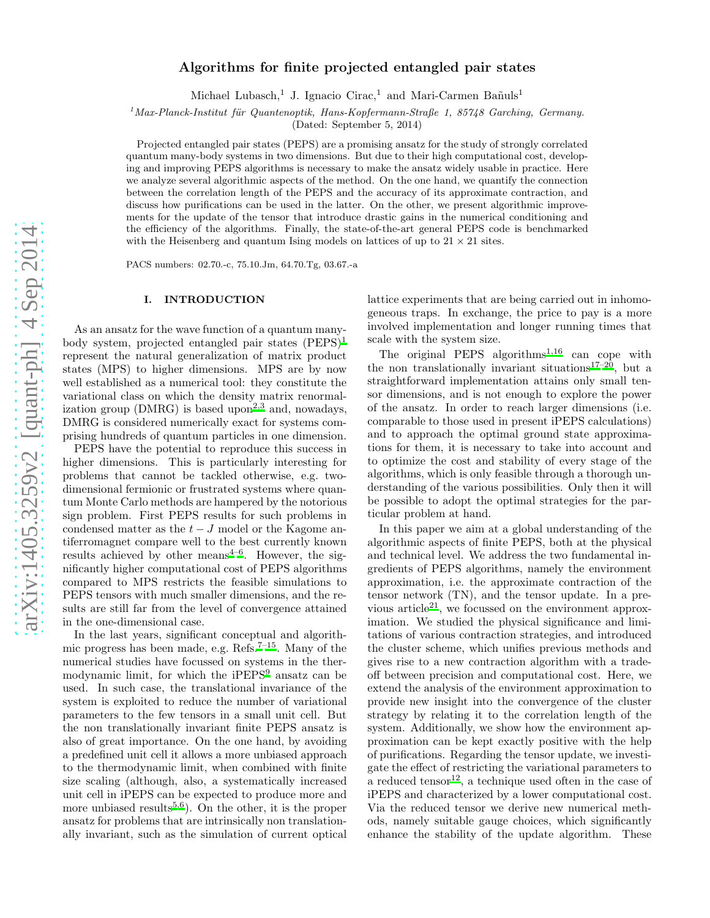# Algorithms for finite projected entangled pair states

Michael Lubasch,<sup>1</sup> J. Ignacio Cirac,<sup>1</sup> and Mari-Carmen Bañuls<sup>1</sup>

 $1$ Max-Planck-Institut für Quantenoptik, Hans-Kopfermann-Straße 1, 85748 Garching, Germany.

(Dated: September 5, 2014)

Projected entangled pair states (PEPS) are a promising ansatz for the study of strongly correlated quantum many-body systems in two dimensions. But due to their high computational cost, developing and improving PEPS algorithms is necessary to make the ansatz widely usable in practice. Here we analyze several algorithmic aspects of the method. On the one hand, we quantify the connection between the correlation length of the PEPS and the accuracy of its approximate contraction, and discuss how purifications can be used in the latter. On the other, we present algorithmic improvements for the update of the tensor that introduce drastic gains in the numerical conditioning and the efficiency of the algorithms. Finally, the state-of-the-art general PEPS code is benchmarked with the Heisenberg and quantum Ising models on lattices of up to  $21 \times 21$  sites.

PACS numbers: 02.70.-c, 75.10.Jm, 64.70.Tg, 03.67.-a

# I. INTRODUCTION

As an ansatz for the wave function of a quantum manybody system, projected entangled pair states (PEPS)[1](#page-15-0) represent the natural generalization of matrix product states (MPS) to higher dimensions. MPS are by now well established as a numerical tool: they constitute the variational class on which the density matrix renormal-ization group (DMRG) is based upon<sup>[2](#page-15-1)[,3](#page-15-2)</sup> and, nowadays, DMRG is considered numerically exact for systems comprising hundreds of quantum particles in one dimension.

PEPS have the potential to reproduce this success in higher dimensions. This is particularly interesting for problems that cannot be tackled otherwise, e.g. twodimensional fermionic or frustrated systems where quantum Monte Carlo methods are hampered by the notorious sign problem. First PEPS results for such problems in condensed matter as the  $t-J$  model or the Kagome antiferromagnet compare well to the best currently known results achieved by other means $4-6$  $4-6$ . However, the significantly higher computational cost of PEPS algorithms compared to MPS restricts the feasible simulations to PEPS tensors with much smaller dimensions, and the results are still far from the level of convergence attained in the one-dimensional case.

In the last years, significant conceptual and algorithmic progress has been made, e.g.  $\text{Refs.}^{7-15}$  $\text{Refs.}^{7-15}$  $\text{Refs.}^{7-15}$ . Many of the numerical studies have focussed on systems in the ther-modynamic limit, for which the iPEPS<sup>[9](#page-16-4)</sup> ansatz can be used. In such case, the translational invariance of the system is exploited to reduce the number of variational parameters to the few tensors in a small unit cell. But the non translationally invariant finite PEPS ansatz is also of great importance. On the one hand, by avoiding a predefined unit cell it allows a more unbiased approach to the thermodynamic limit, when combined with finite size scaling (although, also, a systematically increased unit cell in iPEPS can be expected to produce more and more unbiased results<sup>[5](#page-16-5)[,6](#page-16-1)</sup>). On the other, it is the proper ansatz for problems that are intrinsically non translationally invariant, such as the simulation of current optical lattice experiments that are being carried out in inhomogeneous traps. In exchange, the price to pay is a more involved implementation and longer running times that scale with the system size.

The original PEPS algorithm[s](#page-15-0)<sup>1[,16](#page-16-6)</sup> can cope with the non translationally invariant situations<sup>[17](#page-16-7)[–20](#page-16-8)</sup>, but a straightforward implementation attains only small tensor dimensions, and is not enough to explore the power of the ansatz. In order to reach larger dimensions (i.e. comparable to those used in present iPEPS calculations) and to approach the optimal ground state approximations for them, it is necessary to take into account and to optimize the cost and stability of every stage of the algorithms, which is only feasible through a thorough understanding of the various possibilities. Only then it will be possible to adopt the optimal strategies for the particular problem at hand.

In this paper we aim at a global understanding of the algorithmic aspects of finite PEPS, both at the physical and technical level. We address the two fundamental ingredients of PEPS algorithms, namely the environment approximation, i.e. the approximate contraction of the tensor network (TN), and the tensor update. In a pre-vious article<sup>[21](#page-16-9)</sup>, we focussed on the environment approximation. We studied the physical significance and limitations of various contraction strategies, and introduced the cluster scheme, which unifies previous methods and gives rise to a new contraction algorithm with a tradeoff between precision and computational cost. Here, we extend the analysis of the environment approximation to provide new insight into the convergence of the cluster strategy by relating it to the correlation length of the system. Additionally, we show how the environment approximation can be kept exactly positive with the help of purifications. Regarding the tensor update, we investigate the effect of restricting the variational parameters to a reduced tensor<sup>[12](#page-16-10)</sup>, a technique used often in the case of iPEPS and characterized by a lower computational cost. Via the reduced tensor we derive new numerical methods, namely suitable gauge choices, which significantly enhance the stability of the update algorithm. These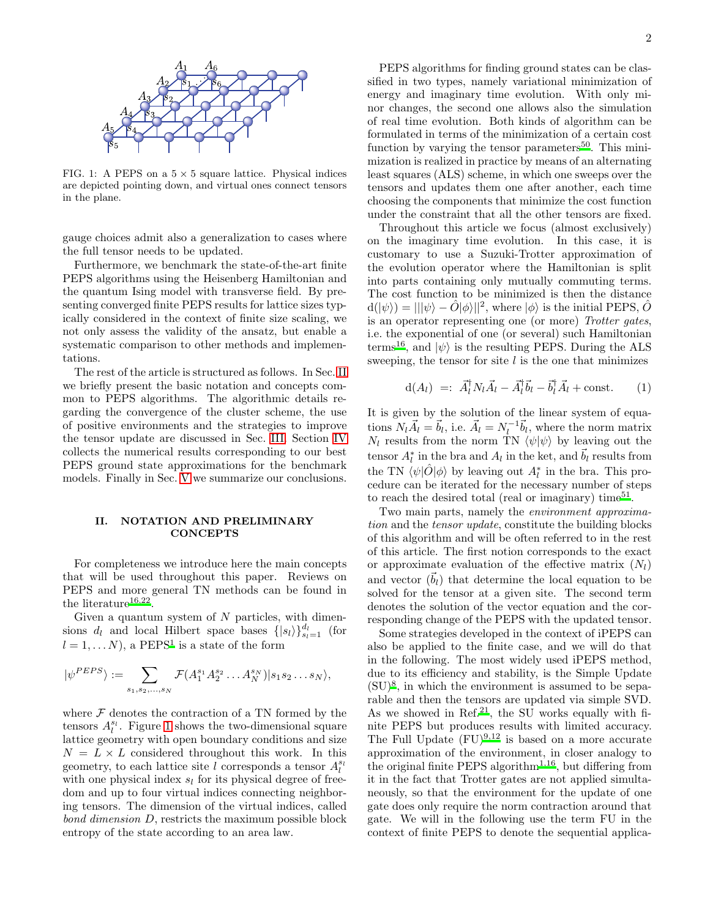

<span id="page-1-1"></span>FIG. 1: A PEPS on a  $5 \times 5$  square lattice. Physical indices are depicted pointing down, and virtual ones connect tensors in the plane.

gauge choices admit also a generalization to cases where the full tensor needs to be updated.

Furthermore, we benchmark the state-of-the-art finite PEPS algorithms using the Heisenberg Hamiltonian and the quantum Ising model with transverse field. By presenting converged finite PEPS results for lattice sizes typically considered in the context of finite size scaling, we not only assess the validity of the ansatz, but enable a systematic comparison to other methods and implementations.

The rest of the article is structured as follows. In Sec. [II](#page-1-0) we briefly present the basic notation and concepts common to PEPS algorithms. The algorithmic details regarding the convergence of the cluster scheme, the use of positive environments and the strategies to improve the tensor update are discussed in Sec. [III.](#page-2-0) Section [IV](#page-9-0) collects the numerical results corresponding to our best PEPS ground state approximations for the benchmark models. Finally in Sec. [V](#page-12-0) we summarize our conclusions.

# <span id="page-1-0"></span>II. NOTATION AND PRELIMINARY **CONCEPTS**

For completeness we introduce here the main concepts that will be used throughout this paper. Reviews on PEPS and more general TN methods can be found in the literature<sup>[16](#page-16-6)[,22](#page-16-11)</sup>.

Given a quantum system of  $N$  particles, with dimensions  $d_l$  and local Hilbert space bases  $\{|s_l\rangle\}_{s_l=1}^{d_l}$  (for  $l = 1, \dots N$  $l = 1, \dots N$  $l = 1, \dots N$ , a PEPS<sup>1</sup> is a state of the form

$$
|\psi^{PEPS}\rangle := \sum_{s_1, s_2, \dots, s_N} \mathcal{F}(A_1^{s_1} A_2^{s_2} \dots A_N^{s_N}) |s_1 s_2 \dots s_N\rangle,
$$

where  $\mathcal F$  denotes the contraction of a TN formed by the tensors  $A_l^{s_l}$ . Figure [1](#page-1-1) shows the two-dimensional square lattice geometry with open boundary conditions and size  $N = L \times L$  considered throughout this work. In this geometry, to each lattice site l corresponds a tensor  $A_l^{s_l}$ with one physical index  $s_l$  for its physical degree of freedom and up to four virtual indices connecting neighboring tensors. The dimension of the virtual indices, called bond dimension D, restricts the maximum possible block entropy of the state according to an area law.

PEPS algorithms for finding ground states can be classified in two types, namely variational minimization of energy and imaginary time evolution. With only minor changes, the second one allows also the simulation of real time evolution. Both kinds of algorithm can be formulated in terms of the minimization of a certain cost function by varying the tensor parameters<sup>[50](#page-16-12)</sup>. This minimization is realized in practice by means of an alternating least squares (ALS) scheme, in which one sweeps over the tensors and updates them one after another, each time choosing the components that minimize the cost function under the constraint that all the other tensors are fixed.

Throughout this article we focus (almost exclusively) on the imaginary time evolution. In this case, it is customary to use a Suzuki-Trotter approximation of the evolution operator where the Hamiltonian is split into parts containing only mutually commuting terms. The cost function to be minimized is then the distance  $\langle d(|\psi\rangle) = |||\psi\rangle - \hat{O}|\phi\rangle||^2$ , where  $|\phi\rangle$  is the initial PEPS,  $\hat{O}$ is an operator representing one (or more) Trotter gates, i.e. the exponential of one (or several) such Hamiltonian terms<sup>[16](#page-16-6)</sup>, and  $|\psi\rangle$  is the resulting PEPS. During the ALS sweeping, the tensor for site  $l$  is the one that minimizes

<span id="page-1-2"></span>
$$
d(A_l) =: \vec{A}_l^{\dagger} N_l \vec{A}_l - \vec{A}_l^{\dagger} \vec{b}_l - \vec{b}_l^{\dagger} \vec{A}_l + \text{const.} \qquad (1)
$$

It is given by the solution of the linear system of equations  $N_l \vec{A}_l = \vec{b}_l$ , i.e.  $\vec{A}_l = N_l^{-1} \vec{b}_l$ , where the norm matrix  $N_l$  results from the norm TN  $\langle \psi | \psi \rangle$  by leaving out the tensor  $A_l^*$  in the bra and  $A_l$  in the ket, and  $\vec{b}_l$  results from the TN  $\langle \psi | \hat{O} | \phi \rangle$  by leaving out  $A^*_{l}$  in the bra. This procedure can be iterated for the necessary number of steps to reach the desired total (real or imaginary) time<sup>[51](#page-16-13)</sup>.

Two main parts, namely the environment approximation and the tensor update, constitute the building blocks of this algorithm and will be often referred to in the rest of this article. The first notion corresponds to the exact or approximate evaluation of the effective matrix  $(N_l)$ and vector  $(b<sub>l</sub>)$  that determine the local equation to be solved for the tensor at a given site. The second term denotes the solution of the vector equation and the corresponding change of the PEPS with the updated tensor.

Some strategies developed in the context of iPEPS can also be applied to the finite case, and we will do that in the following. The most widely used iPEPS method, due to its efficiency and stability, is the Simple Update  $(SU)^8$  $(SU)^8$ , in which the environment is assumed to be separable and then the tensors are updated via simple SVD. As we showed in Ref.<sup>[21](#page-16-9)</sup>, the  $S\overrightarrow{U}$  works equally with finite PEPS but produces results with limited accuracy. The Full Update  $(FU)^{9,12}$  $(FU)^{9,12}$  $(FU)^{9,12}$  $(FU)^{9,12}$  is based on a more accurate approximation of the environment, in closer analogy to the original finite PEPS algorithm<sup>[1](#page-15-0)[,16](#page-16-6)</sup>, but differing from it in the fact that Trotter gates are not applied simultaneously, so that the environment for the update of one gate does only require the norm contraction around that gate. We will in the following use the term FU in the context of finite PEPS to denote the sequential applica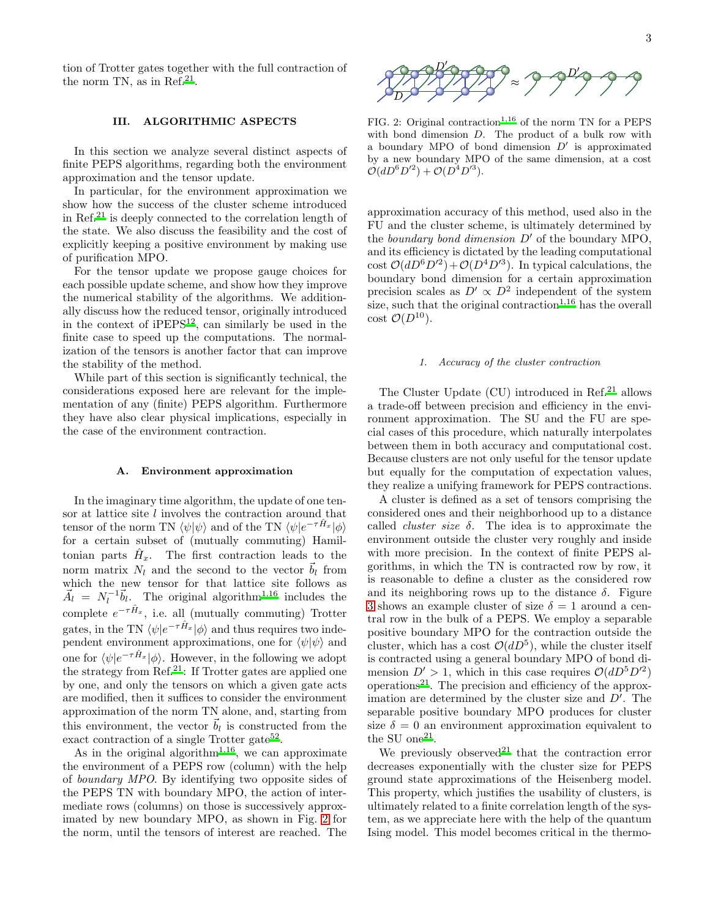tion of Trotter gates together with the full contraction of the norm TN, as in Ref.<sup>[21](#page-16-9)</sup>.

### <span id="page-2-0"></span>III. ALGORITHMIC ASPECTS

In this section we analyze several distinct aspects of finite PEPS algorithms, regarding both the environment approximation and the tensor update.

In particular, for the environment approximation we show how the success of the cluster scheme introduced in Ref.[21](#page-16-9) is deeply connected to the correlation length of the state. We also discuss the feasibility and the cost of explicitly keeping a positive environment by making use of purification MPO.

For the tensor update we propose gauge choices for each possible update scheme, and show how they improve the numerical stability of the algorithms. We additionally discuss how the reduced tensor, originally introduced in the context of  $iPEPS<sup>12</sup>$  $iPEPS<sup>12</sup>$  $iPEPS<sup>12</sup>$ , can similarly be used in the finite case to speed up the computations. The normalization of the tensors is another factor that can improve the stability of the method.

While part of this section is significantly technical, the considerations exposed here are relevant for the implementation of any (finite) PEPS algorithm. Furthermore they have also clear physical implications, especially in the case of the environment contraction.

### A. Environment approximation

In the imaginary time algorithm, the update of one tensor at lattice site l involves the contraction around that tensor of the norm TN  $\langle \psi | \psi \rangle$  and of the TN  $\langle \psi | e^{-\tau \hat{H}_x} | \phi \rangle$ for a certain subset of (mutually commuting) Hamiltonian parts  $\hat{H}_x$ . The first contraction leads to the norm matrix  $N_l$  and the second to the vector  $\vec{b}_l$  from which the new tensor for that lattice site follows as  $\vec{A}_l = N_l^{-1} \vec{b}_l$  $\vec{A}_l = N_l^{-1} \vec{b}_l$  $\vec{A}_l = N_l^{-1} \vec{b}_l$ . The original algorithm<sup>1[,16](#page-16-6)</sup> includes the complete  $e^{-\tau \hat{H}_x}$ , i.e. all (mutually commuting) Trotter gates, in the TN  $\langle \psi | e^{-\tau \hat{H}_x} | \phi \rangle$  and thus requires two independent environment approximations, one for  $\langle \psi | \psi \rangle$  and one for  $\langle \psi | e^{-\tau \hat{H}_x} | \phi \rangle$ . However, in the following we adopt the strategy from  $\text{Ref.}^{21}$  $\text{Ref.}^{21}$  $\text{Ref.}^{21}$ : If Trotter gates are applied one by one, and only the tensors on which a given gate acts are modified, then it suffices to consider the environment approximation of the norm TN alone, and, starting from this environment, the vector  $\vec{b}_l$  is constructed from the exact contraction of a single Trotter gate<sup>[52](#page-16-15)</sup>.

As in the original algorithm<sup>[1](#page-15-0)[,16](#page-16-6)</sup>, we can approximate the environment of a PEPS row (column) with the help of boundary MPO. By identifying two opposite sides of the PEPS TN with boundary MPO, the action of intermediate rows (columns) on those is successively approximated by new boundary MPO, as shown in Fig. [2](#page-2-1) for the norm, until the tensors of interest are reached. The



<span id="page-2-1"></span>FIG. 2: Origi[n](#page-15-0)al contraction<sup>1[,16](#page-16-6)</sup> of the norm TN for a PEPS with bond dimension D. The product of a bulk row with a boundary MPO of bond dimension  $D'$  is approximated by a new boundary MPO of the same dimension, at a cost  $\mathcal{O}(dD^6D'^2) + \mathcal{O}(D^4D'^3).$ 

approximation accuracy of this method, used also in the FU and the cluster scheme, is ultimately determined by the boundary bond dimension  $D'$  of the boundary MPO. and its efficiency is dictated by the leading computational cost  $\mathcal{O}(dD^6D'^2) + \mathcal{O}(D^4D'^3)$ . In typical calculations, the boundary bond dimension for a certain approximation precision scales as  $D' \propto D^2$  independent of the system size, such that the original contraction<sup> $1,16$  $1,16$ </sup> has the overall cost  $\mathcal{O}(D^{10})$ .

# 1. Accuracy of the cluster contraction

The Cluster Update  $(CU)$  introduced in Ref.<sup>[21](#page-16-9)</sup> allows a trade-off between precision and efficiency in the environment approximation. The SU and the FU are special cases of this procedure, which naturally interpolates between them in both accuracy and computational cost. Because clusters are not only useful for the tensor update but equally for the computation of expectation values, they realize a unifying framework for PEPS contractions.

A cluster is defined as a set of tensors comprising the considered ones and their neighborhood up to a distance called *cluster size*  $\delta$ . The idea is to approximate the environment outside the cluster very roughly and inside with more precision. In the context of finite PEPS algorithms, in which the TN is contracted row by row, it is reasonable to define a cluster as the considered row and its neighboring rows up to the distance  $\delta$ . Figure [3](#page-3-0) shows an example cluster of size  $\delta = 1$  around a central row in the bulk of a PEPS. We employ a separable positive boundary MPO for the contraction outside the cluster, which has a cost  $\mathcal{O}(dD^5)$ , while the cluster itself is contracted using a general boundary MPO of bond dimension  $D' > 1$ , which in this case requires  $\mathcal{O}(dD^5D'^2)$ operations[21](#page-16-9). The precision and efficiency of the approximation are determined by the cluster size and D′ . The separable positive boundary MPO produces for cluster size  $\delta = 0$  an environment approximation equivalent to the SU one<sup>[21](#page-16-9)</sup>.

We previously observed<sup>[21](#page-16-9)</sup> that the contraction error decreases exponentially with the cluster size for PEPS ground state approximations of the Heisenberg model. This property, which justifies the usability of clusters, is ultimately related to a finite correlation length of the system, as we appreciate here with the help of the quantum Ising model. This model becomes critical in the thermo-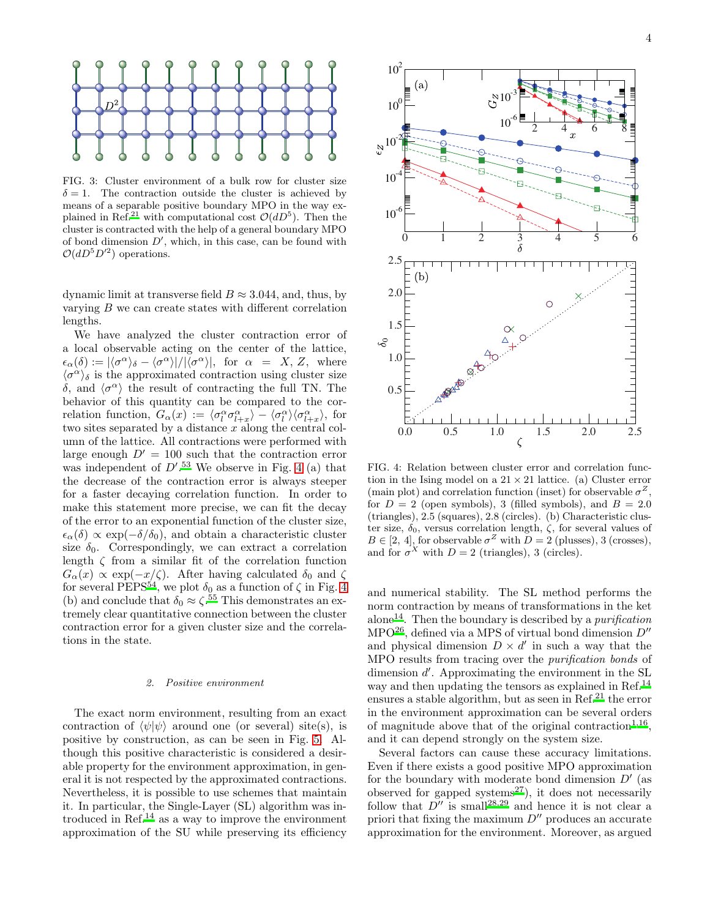

<span id="page-3-0"></span>FIG. 3: Cluster environment of a bulk row for cluster size  $\delta = 1$ . The contraction outside the cluster is achieved by means of a separable positive boundary MPO in the way ex-plained in Ref[.](#page-16-9)<sup>21</sup> with computational cost  $\mathcal{O}(dD^5)$ . Then the cluster is contracted with the help of a general boundary MPO of bond dimension  $D'$ , which, in this case, can be found with  $\mathcal{O}(dD^5D'^2)$  operations.

dynamic limit at transverse field  $B \approx 3.044$ , and, thus, by varying B we can create states with different correlation lengths.

We have analyzed the cluster contraction error of a local observable acting on the center of the lattice,  $\epsilon_{\alpha}(\delta) := |\langle \sigma^{\alpha} \rangle_{\delta} - \langle \sigma^{\alpha} \rangle| / |\langle \sigma^{\alpha} \rangle|, \text{ for } \alpha = X, Z, \text{ where}$  $\langle \sigma^{\alpha} \rangle_{\delta}$  is the approximated contraction using cluster size δ, and  $\langle σ^{\alpha} \rangle$  the result of contracting the full TN. The behavior of this quantity can be compared to the correlation function,  $G_{\alpha}(x) := \langle \sigma_l^{\alpha} \sigma_{l+x}^{\alpha} \rangle - \langle \sigma_l^{\alpha} \rangle \langle \sigma_{l+x}^{\alpha} \rangle$ , for two sites separated by a distance x along the central column of the lattice. All contractions were performed with large enough  $D' = 100$  such that the contraction error was independent of  $D^{\prime}$ .<sup>[53](#page-16-16)</sup> We observe in Fig. [4](#page-3-1) (a) that the decrease of the contraction error is always steeper for a faster decaying correlation function. In order to make this statement more precise, we can fit the decay of the error to an exponential function of the cluster size,  $\epsilon_{\alpha}(\delta) \propto \exp(-\delta/\delta_0)$ , and obtain a characteristic cluster size  $\delta_0$ . Correspondingly, we can extract a correlation length  $\zeta$  from a similar fit of the correlation function  $G_{\alpha}(x) \propto \exp(-x/\zeta)$ . After having calculated  $\delta_0$  and  $\zeta$ for several PEPS<sup>[54](#page-16-17)</sup>, we plot  $\delta_0$  as a function of  $\zeta$  in Fig. [4](#page-3-1) (b) and conclude that  $\delta_0 \approx \zeta^{.55}$  $\delta_0 \approx \zeta^{.55}$  $\delta_0 \approx \zeta^{.55}$  This demonstrates an extremely clear quantitative connection between the cluster contraction error for a given cluster size and the correlations in the state.

### <span id="page-3-2"></span>2. Positive environment

The exact norm environment, resulting from an exact contraction of  $\langle \psi | \psi \rangle$  around one (or several) site(s), is positive by construction, as can be seen in Fig. [5.](#page-4-0) Although this positive characteristic is considered a desirable property for the environment approximation, in general it is not respected by the approximated contractions. Nevertheless, it is possible to use schemes that maintain it. In particular, the Single-Layer (SL) algorithm was introduced in Ref. $^{14}$  $^{14}$  $^{14}$  as a way to improve the environment approximation of the SU while preserving its efficiency



<span id="page-3-1"></span>FIG. 4: Relation between cluster error and correlation function in the Ising model on a  $21 \times 21$  lattice. (a) Cluster error (main plot) and correlation function (inset) for observable  $\sigma^Z$ , for  $D = 2$  (open symbols), 3 (filled symbols), and  $B = 2.0$ (triangles), 2.5 (squares), 2.8 (circles). (b) Characteristic cluster size,  $\delta_0$ , versus correlation length,  $\zeta$ , for several values of  $B \in [2, 4]$ , for observable  $\sigma^Z$  with  $D = 2$  (plusses), 3 (crosses), and for  $\sigma^X$  with  $D=2$  (triangles), 3 (circles).

and numerical stability. The SL method performs the norm contraction by means of transformations in the ket alone<sup>[14](#page-16-19)</sup>. Then the boundary is described by a *purification* MPO<sup>[26](#page-16-20)</sup>, defined via a MPS of virtual bond dimension  $D''$ and physical dimension  $D \times d'$  in such a way that the MPO results from tracing over the purification bonds of dimension  $d'$ . Approximating the environment in the SL way and then updating the tensors as explained in Ref.<sup>[14](#page-16-19)</sup> ensures a stable algorithm, but as seen in Ref.<sup>[21](#page-16-9)</sup> the error in the environment approximation can be several orders of magnitude above that of the original contraction<sup> $1,16$  $1,16$ </sup>, and it can depend strongly on the system size.

Several factors can cause these accuracy limitations. Even if there exists a good positive MPO approximation for the boundary with moderate bond dimension  $D'$  (as observed for gapped systems<sup>[27](#page-16-21)</sup>), it does not necessarily follow that  $D''$  is small<sup>[28](#page-16-22)[,29](#page-16-23)</sup> and hence it is not clear a priori that fixing the maximum  $D''$  produces an accurate approximation for the environment. Moreover, as argued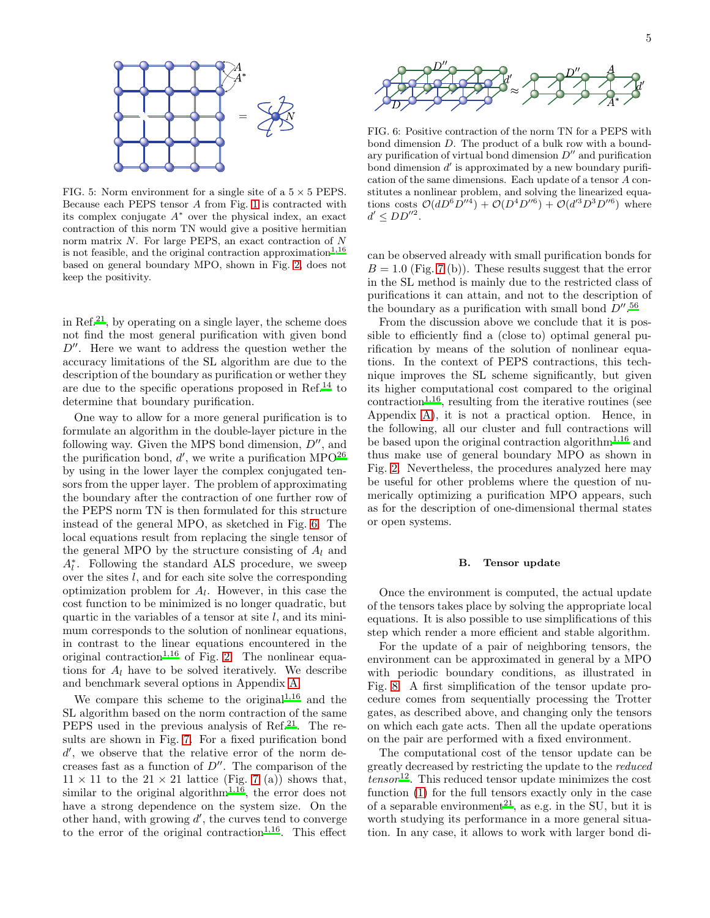

<span id="page-4-0"></span>FIG. 5: Norm environment for a single site of a  $5 \times 5$  PEPS. Because each PEPS tensor A from Fig. [1](#page-1-1) is contracted with its complex conjugate  $A^*$  over the physical index, an exact contraction of this norm TN would give a positive hermitian norm matrix N. For large PEPS, an exact contraction of N is not feasible, and the original contraction approximation<sup>[1](#page-15-0)[,16](#page-16-6)</sup> based on general boundary MPO, shown in Fig. [2,](#page-2-1) does not keep the positivity.

in Ref.<sup>[21](#page-16-9)</sup>, by operating on a single layer, the scheme does not find the most general purification with given bond  $D''$ . Here we want to address the question wether the accuracy limitations of the SL algorithm are due to the description of the boundary as purification or wether they are due to the specific operations proposed in Ref.<sup>[14](#page-16-19)</sup> to determine that boundary purification.

One way to allow for a more general purification is to formulate an algorithm in the double-layer picture in the following way. Given the MPS bond dimension,  $D''$ , and the purification bond,  $d'$ , we write a purification MPO<sup>[26](#page-16-20)</sup> by using in the lower layer the complex conjugated tensors from the upper layer. The problem of approximating the boundary after the contraction of one further row of the PEPS norm TN is then formulated for this structure instead of the general MPO, as sketched in Fig. [6.](#page-4-1) The local equations result from replacing the single tensor of the general MPO by the structure consisting of  $A_l$  and  $A_l^*$ . Following the standard ALS procedure, we sweep over the sites l, and for each site solve the corresponding optimization problem for  $A_l$ . However, in this case the cost function to be minimized is no longer quadratic, but quartic in the variables of a tensor at site  $l$ , and its minimum corresponds to the solution of nonlinear equations, in contrast to the linear equations encountered in the original contraction<sup>[1](#page-15-0)[,16](#page-16-6)</sup> of Fig. [2.](#page-2-1) The nonlinear equations for  $A_l$  have to be solved iteratively. We describe and benchmark several options in Appendix [A.](#page-13-0)

We compare this scheme to the original<sup>[1](#page-15-0)[,16](#page-16-6)</sup> and the SL algorithm based on the norm contraction of the same PEPS used in the previous analysis of Ref.<sup>[21](#page-16-9)</sup>. The results are shown in Fig. [7.](#page-5-0) For a fixed purification bond d', we observe that the relative error of the norm decreases fast as a function of  $D''$ . The comparison of the  $11 \times 11$  to the  $21 \times 21$  lattice (Fig. [7](#page-5-0) (a)) shows that, si[m](#page-15-0)ilar to the original algorithm<sup>1[,16](#page-16-6)</sup>, the error does not have a strong dependence on the system size. On the other hand, with growing  $d'$ , the curves tend to converge to the error of the original contraction<sup>[1,](#page-15-0)[16](#page-16-6)</sup>. This effect



<span id="page-4-1"></span>FIG. 6: Positive contraction of the norm TN for a PEPS with bond dimension D. The product of a bulk row with a boundary purification of virtual bond dimension  $D''$  and purification bond dimension  $d'$  is approximated by a new boundary purification of the same dimensions. Each update of a tensor A constitutes a nonlinear problem, and solving the linearized equations costs  $\mathcal{O}(dD^6D''^4) + \mathcal{O}(D^4D''^6) + \mathcal{O}(d'^3D^3D''^6)$  where  $d' \leq DD''^2$ .

can be observed already with small purification bonds for  $B = 1.0$  (Fig. [7](#page-5-0) (b)). These results suggest that the error in the SL method is mainly due to the restricted class of purifications it can attain, and not to the description of the boundary as a purification with small bond  $D''$ .<sup>[56](#page-16-24)</sup>

From the discussion above we conclude that it is possible to efficiently find a (close to) optimal general purification by means of the solution of nonlinear equations. In the context of PEPS contractions, this technique improves the SL scheme significantly, but given its higher computational cost compared to the original  $contraction<sup>1,16</sup>$  $contraction<sup>1,16</sup>$  $contraction<sup>1,16</sup>$  $contraction<sup>1,16</sup>$ , resulting from the iterative routines (see Appendix [A\)](#page-13-0), it is not a practical option. Hence, in the following, all our cluster and full contractions will be based upon the original contraction algorithm<sup>[1](#page-15-0)[,16](#page-16-6)</sup> and thus make use of general boundary MPO as shown in Fig. [2.](#page-2-1) Nevertheless, the procedures analyzed here may be useful for other problems where the question of numerically optimizing a purification MPO appears, such as for the description of one-dimensional thermal states or open systems.

### B. Tensor update

Once the environment is computed, the actual update of the tensors takes place by solving the appropriate local equations. It is also possible to use simplifications of this step which render a more efficient and stable algorithm.

For the update of a pair of neighboring tensors, the environment can be approximated in general by a MPO with periodic boundary conditions, as illustrated in Fig. [8.](#page-5-1) A first simplification of the tensor update procedure comes from sequentially processing the Trotter gates, as described above, and changing only the tensors on which each gate acts. Then all the update operations on the pair are performed with a fixed environment.

The computational cost of the tensor update can be greatly decreased by restricting the update to the reduced  $tensor$ <sup>[12](#page-16-10)</sup>. This reduced tensor update minimizes the cost function [\(1\)](#page-1-2) for the full tensors exactly only in the case of a separable environment<sup>[21](#page-16-9)</sup>, as e.g. in the SU, but it is worth studying its performance in a more general situation. In any case, it allows to work with larger bond di-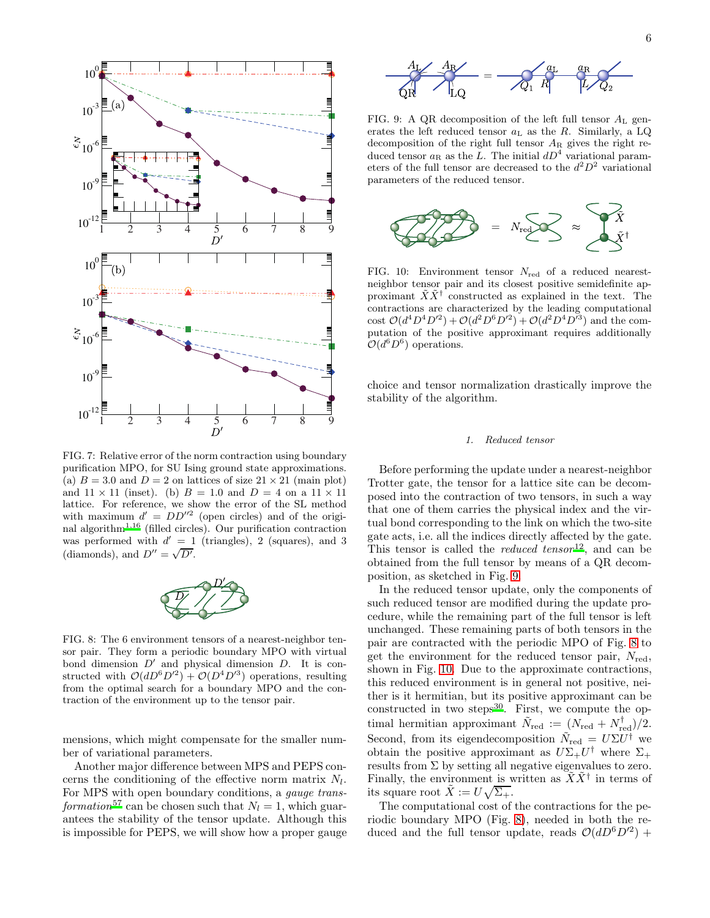

<span id="page-5-0"></span>FIG. 7: Relative error of the norm contraction using boundary purification MPO, for SU Ising ground state approximations. (a)  $B = 3.0$  and  $D = 2$  on lattices of size  $21 \times 21$  (main plot) and  $11 \times 11$  (inset). (b)  $B = 1.0$  and  $D = 4$  on a  $11 \times 11$ lattice. For reference, we show the error of the SL method with maximum  $d' = DD''^2$  (open circles) and of the origi-nal algorithm<sup>[1](#page-15-0)[,16](#page-16-6)</sup> (filled circles). Our purification contraction was performed with  $d' = 1$  (triangles), 2 (squares), and 3 (diamonds), and  $D'' = \sqrt{D'}$ .



<span id="page-5-1"></span>FIG. 8: The 6 environment tensors of a nearest-neighbor tensor pair. They form a periodic boundary MPO with virtual bond dimension  $D'$  and physical dimension  $D$ . It is constructed with  $\mathcal{O}(dD^6D'^2) + \mathcal{O}(D^4D'^3)$  operations, resulting from the optimal search for a boundary MPO and the contraction of the environment up to the tensor pair.

mensions, which might compensate for the smaller number of variational parameters.

Another major difference between MPS and PEPS concerns the conditioning of the effective norm matrix  $N_l$ . For MPS with open boundary conditions, a gauge trans-formation<sup>[57](#page-16-25)</sup> can be chosen such that  $N_l = 1$ , which guarantees the stability of the tensor update. Although this is impossible for PEPS, we will show how a proper gauge



<span id="page-5-2"></span>FIG. 9: A QR decomposition of the left full tensor  $A_L$  generates the left reduced tensor  $a_L$  as the R. Similarly, a LQ decomposition of the right full tensor  $A_R$  gives the right reduced tensor  $a_R$  as the L. The initial  $dD^4$  variational parameters of the full tensor are decreased to the  $d^2D^2$  variational parameters of the reduced tensor.



<span id="page-5-3"></span>FIG. 10: Environment tensor  $N_{\text{red}}$  of a reduced nearestneighbor tensor pair and its closest positive semidefinite approximant  $\tilde{X}\tilde{X}^{\dagger}$  constructed as explained in the text. The contractions are characterized by the leading computational cost  $\mathcal{O}(d^4 D^4 D'^2) + \mathcal{O}(d^2 D^6 D'^2) + \mathcal{O}(d^2 D^4 D'^3)$  and the computation of the positive approximant requires additionally  $\mathcal{O}(d^6D^6)$  operations.

choice and tensor normalization drastically improve the stability of the algorithm.

### 1. Reduced tensor

Before performing the update under a nearest-neighbor Trotter gate, the tensor for a lattice site can be decomposed into the contraction of two tensors, in such a way that one of them carries the physical index and the virtual bond corresponding to the link on which the two-site gate acts, i.e. all the indices directly affected by the gate. This tensor is called the *reduced tensor*<sup>[12](#page-16-10)</sup>, and can be obtained from the full tensor by means of a QR decomposition, as sketched in Fig. [9.](#page-5-2)

In the reduced tensor update, only the components of such reduced tensor are modified during the update procedure, while the remaining part of the full tensor is left unchanged. These remaining parts of both tensors in the pair are contracted with the periodic MPO of Fig. [8](#page-5-1) to get the environment for the reduced tensor pair,  $N_{\text{red}}$ , shown in Fig. [10.](#page-5-3) Due to the approximate contractions, this reduced environment is in general not positive, neither is it hermitian, but its positive approximant can be constructed in two steps $30$ . First, we compute the optimal hermitian approximant  $\tilde{N}_{\text{red}} := (N_{\text{red}} + N_{\text{red}}^{\dagger})/2$ . Second, from its eigendecomposition  $\tilde{N}_{\text{red}} = U \Sigma U^{\dagger}$  we obtain the positive approximant as  $U\Sigma_{+}U^{\dagger}$  where  $\Sigma_{+}$ results from  $\Sigma$  by setting all negative eigenvalues to zero. Finally, the environment is written as  $\tilde{X}\tilde{X}^{\dagger}$  in terms of its square root  $\tilde{X} := U\sqrt{\Sigma_{+}}$ .

The computational cost of the contractions for the periodic boundary MPO (Fig. [8\)](#page-5-1), needed in both the reduced and the full tensor update, reads  $\mathcal{O}(dD^6D^2)$  +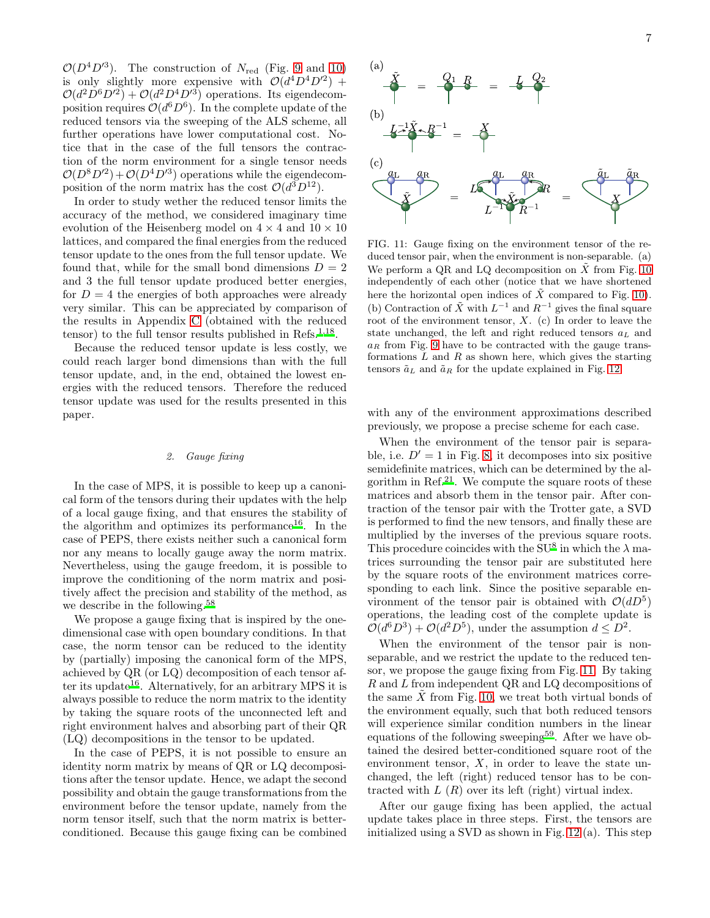$\mathcal{O}(D^4D^{\prime 3})$ . The construction of  $N_{\text{red}}$  (Fig. [9](#page-5-2) and [10\)](#page-5-3) is only slightly more expensive with  $\mathcal{O}(d^4D^4D'^2)$  +  $\mathcal{O}(d^2D^6D'^2) + \mathcal{O}(d^2D^4D'^3)$  operations. Its eigendecomposition requires  $\mathcal{O}(d^6D^6)$ . In the complete update of the reduced tensors via the sweeping of the ALS scheme, all further operations have lower computational cost. Notice that in the case of the full tensors the contraction of the norm environment for a single tensor needs  $\mathcal{O}(D^8D^2) + \mathcal{O}(D^4D^3)$  operations while the eigendecomposition of the norm matrix has the cost  $\mathcal{O}(d^3D^{12})$ .

In order to study wether the reduced tensor limits the accuracy of the method, we considered imaginary time evolution of the Heisenberg model on  $4 \times 4$  and  $10 \times 10$ lattices, and compared the final energies from the reduced tensor update to the ones from the full tensor update. We found that, while for the small bond dimensions  $D = 2$ and 3 the full tensor update produced better energies, for  $D = 4$  the energies of both approaches were already very similar. This can be appreciated by comparison of the results in Appendix [C](#page-15-3) (obtained with the reduced tensor) to the full tensor results published in Refs.<sup>[1](#page-15-0)[,18](#page-16-27)</sup>.

Because the reduced tensor update is less costly, we could reach larger bond dimensions than with the full tensor update, and, in the end, obtained the lowest energies with the reduced tensors. Therefore the reduced tensor update was used for the results presented in this paper.

# 2. Gauge fixing

In the case of MPS, it is possible to keep up a canonical form of the tensors during their updates with the help of a local gauge fixing, and that ensures the stability of the algorithm and optimizes its performance<sup>[16](#page-16-6)</sup>. In the case of PEPS, there exists neither such a canonical form nor any means to locally gauge away the norm matrix. Nevertheless, using the gauge freedom, it is possible to improve the conditioning of the norm matrix and positively affect the precision and stability of the method, as we describe in the following.[58](#page-16-28)

We propose a gauge fixing that is inspired by the onedimensional case with open boundary conditions. In that case, the norm tensor can be reduced to the identity by (partially) imposing the canonical form of the MPS, achieved by QR (or LQ) decomposition of each tensor af-ter its update<sup>[16](#page-16-6)</sup>. Alternatively, for an arbitrary MPS it is always possible to reduce the norm matrix to the identity by taking the square roots of the unconnected left and right environment halves and absorbing part of their QR (LQ) decompositions in the tensor to be updated.

In the case of PEPS, it is not possible to ensure an identity norm matrix by means of QR or LQ decompositions after the tensor update. Hence, we adapt the second possibility and obtain the gauge transformations from the environment before the tensor update, namely from the norm tensor itself, such that the norm matrix is betterconditioned. Because this gauge fixing can be combined



<span id="page-6-0"></span>FIG. 11: Gauge fixing on the environment tensor of the reduced tensor pair, when the environment is non-separable. (a) We perform a QR and LQ decomposition on  $\tilde{X}$  from Fig. [10](#page-5-3) independently of each other (notice that we have shortened here the horizontal open indices of  $\tilde{X}$  compared to Fig. [10\)](#page-5-3). (b) Contraction of  $\tilde{X}$  with  $L^{-1}$  and  $R^{-1}$  gives the final square root of the environment tensor,  $X$ . (c) In order to leave the state unchanged, the left and right reduced tensors  $a<sub>L</sub>$  and  $a_R$  from Fig. [9](#page-5-2) have to be contracted with the gauge transformations  $L$  and  $R$  as shown here, which gives the starting tensors  $\tilde{a}_L$  and  $\tilde{a}_R$  for the update explained in Fig. [12.](#page-7-0)

with any of the environment approximations described previously, we propose a precise scheme for each case.

When the environment of the tensor pair is separable, i.e.  $D' = 1$  in Fig. [8,](#page-5-1) it decomposes into six positive semidefinite matrices, which can be determined by the al-gorithm in Ref.<sup>[21](#page-16-9)</sup>. We compute the square roots of these matrices and absorb them in the tensor pair. After contraction of the tensor pair with the Trotter gate, a SVD is performed to find the new tensors, and finally these are multiplied by the inverses of the previous square roots. This procedure coincides with the SU<sup>[8](#page-16-14)</sup> in which the  $\lambda$  matrices surrounding the tensor pair are substituted here by the square roots of the environment matrices corresponding to each link. Since the positive separable environment of the tensor pair is obtained with  $\mathcal{O}(dD^5)$ operations, the leading cost of the complete update is  $\mathcal{O}(d^6D^3) + \mathcal{O}(d^2D^5)$ , under the assumption  $d \leq D^2$ .

When the environment of the tensor pair is nonseparable, and we restrict the update to the reduced tensor, we propose the gauge fixing from Fig. [11.](#page-6-0) By taking R and L from independent QR and LQ decompositions of the same  $X$  from Fig. [10,](#page-5-3) we treat both virtual bonds of the environment equally, such that both reduced tensors will experience similar condition numbers in the linear equations of the following sweeping<sup>[59](#page-17-0)</sup>. After we have obtained the desired better-conditioned square root of the environment tensor,  $X$ , in order to leave the state unchanged, the left (right) reduced tensor has to be contracted with  $L(R)$  over its left (right) virtual index.

After our gauge fixing has been applied, the actual update takes place in three steps. First, the tensors are initialized using a SVD as shown in Fig. [12](#page-7-0) (a). This step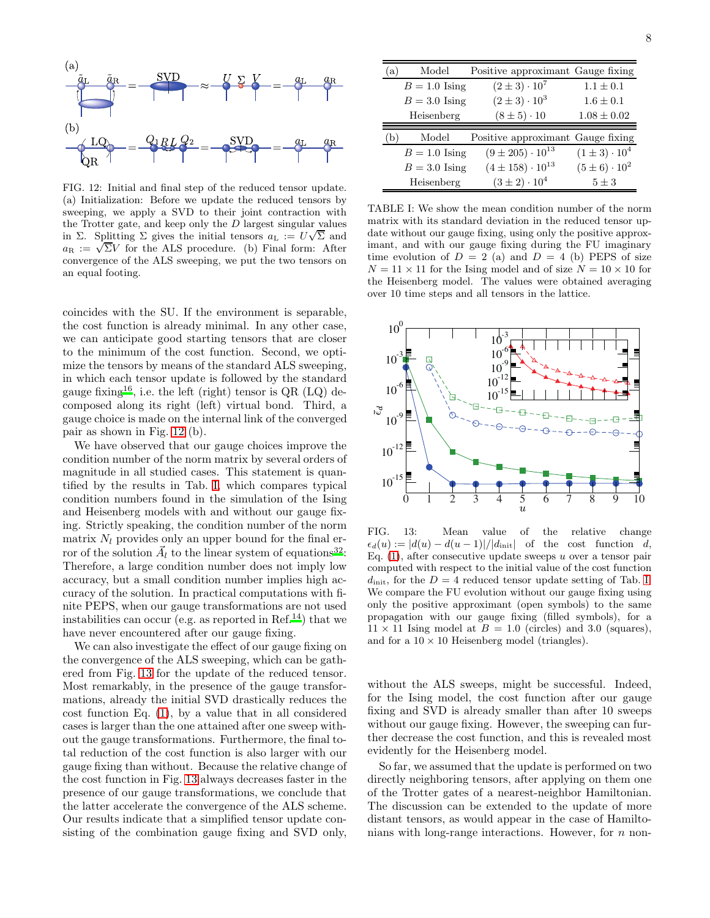

<span id="page-7-0"></span>FIG. 12: Initial and final step of the reduced tensor update. (a) Initialization: Before we update the reduced tensors by sweeping, we apply a SVD to their joint contraction with the Trotter gate, and keep only the  $D$  largest singular values in  $\Sigma$ . Splitting  $\Sigma$  gives the initial tensors  $a_L := U\sqrt{\Sigma}$  and are  $\overline{a}_R := \sqrt{\Sigma V}$  for the ALS procedure. (b) Final form: After convergence of the ALS sweeping, we put the two tensors on an equal footing.

coincides with the SU. If the environment is separable, the cost function is already minimal. In any other case, we can anticipate good starting tensors that are closer to the minimum of the cost function. Second, we optimize the tensors by means of the standard ALS sweeping, in which each tensor update is followed by the standard gauge fixing<sup>[16](#page-16-6)</sup>, i.e. the left (right) tensor is  $QR (LQ)$  decomposed along its right (left) virtual bond. Third, a gauge choice is made on the internal link of the converged pair as shown in Fig. [12](#page-7-0) (b).

We have observed that our gauge choices improve the condition number of the norm matrix by several orders of magnitude in all studied cases. This statement is quantified by the results in Tab. [I,](#page-7-1) which compares typical condition numbers found in the simulation of the Ising and Heisenberg models with and without our gauge fixing. Strictly speaking, the condition number of the norm matrix  $N_l$  provides only an upper bound for the final erfrom of the solution  $\vec{A}_l$  to the linear system of equations<sup>[32](#page-16-29)</sup>: Therefore, a large condition number does not imply low accuracy, but a small condition number implies high accuracy of the solution. In practical computations with finite PEPS, when our gauge transformations are not used instabilities can occur (e.g. as reported in Ref.<sup>[14](#page-16-19)</sup>) that we have never encountered after our gauge fixing.

We can also investigate the effect of our gauge fixing on the convergence of the ALS sweeping, which can be gathered from Fig. [13](#page-7-2) for the update of the reduced tensor. Most remarkably, in the presence of the gauge transformations, already the initial SVD drastically reduces the cost function Eq. [\(1\)](#page-1-2), by a value that in all considered cases is larger than the one attained after one sweep without the gauge transformations. Furthermore, the final total reduction of the cost function is also larger with our gauge fixing than without. Because the relative change of the cost function in Fig. [13](#page-7-2) always decreases faster in the presence of our gauge transformations, we conclude that the latter accelerate the convergence of the ALS scheme. Our results indicate that a simplified tensor update consisting of the combination gauge fixing and SVD only,

| (a) | Model           | Positive approximant Gauge fixing |                          |
|-----|-----------------|-----------------------------------|--------------------------|
|     | $B = 1.0$ Ising | $(2 \pm 3) \cdot 10^7$            | $1.1 \pm 0.1$            |
|     | $B = 3.0$ Ising | $(2 \pm 3) \cdot 10^3$            | $1.6 \pm 0.1$            |
|     | Heisenberg      | $(8 \pm 5) \cdot 10$              | $1.08 \pm 0.02$          |
|     |                 |                                   |                          |
|     |                 |                                   |                          |
| (b  | Model           | Positive approximant Gauge fixing |                          |
|     | $B = 1.0$ Ising | $(9 \pm 205) \cdot 10^{13}$       | $(1 \pm 3) \cdot 10^4$   |
|     | $B = 3.0$ Ising | $(4 \pm 158) \cdot 10^{13}$       | $(5 \pm 6) \cdot 10^{2}$ |

<span id="page-7-1"></span>TABLE I: We show the mean condition number of the norm matrix with its standard deviation in the reduced tensor update without our gauge fixing, using only the positive approximant, and with our gauge fixing during the FU imaginary time evolution of  $D = 2$  (a) and  $D = 4$  (b) PEPS of size  $N = 11 \times 11$  for the Ising model and of size  $N = 10 \times 10$  for the Heisenberg model. The values were obtained averaging over 10 time steps and all tensors in the lattice.



<span id="page-7-2"></span>FIG. 13: Mean value of the relative change  $\epsilon_d(u) := |d(u) - d(u-1)|/|d_{\text{init}}|$  of the cost function d, Eq.  $(1)$ , after consecutive update sweeps u over a tensor pair computed with respect to the initial value of the cost function  $d_{\text{init}}$ , for the  $D = 4$  reduced tensor update setting of Tab. [I.](#page-7-1) We compare the FU evolution without our gauge fixing using only the positive approximant (open symbols) to the same propagation with our gauge fixing (filled symbols), for a  $11 \times 11$  Ising model at  $B = 1.0$  (circles) and 3.0 (squares), and for a  $10 \times 10$  Heisenberg model (triangles).

without the ALS sweeps, might be successful. Indeed, for the Ising model, the cost function after our gauge fixing and SVD is already smaller than after 10 sweeps without our gauge fixing. However, the sweeping can further decrease the cost function, and this is revealed most evidently for the Heisenberg model.

So far, we assumed that the update is performed on two directly neighboring tensors, after applying on them one of the Trotter gates of a nearest-neighbor Hamiltonian. The discussion can be extended to the update of more distant tensors, as would appear in the case of Hamiltonians with long-range interactions. However, for  $n$  non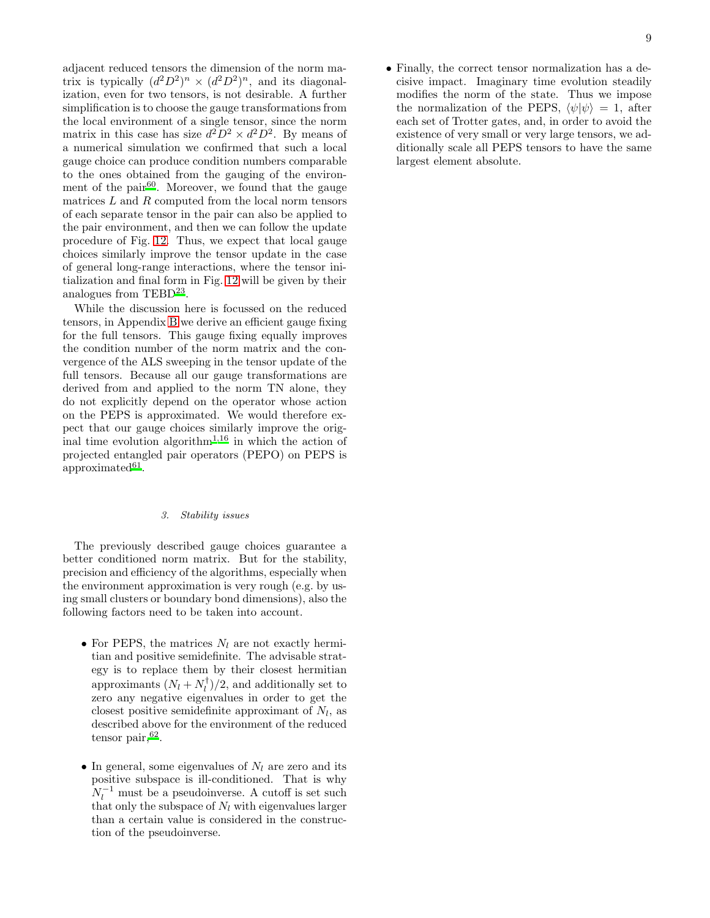adjacent reduced tensors the dimension of the norm matrix is typically  $(d^2D^2)^n \times (d^2D^2)^n$ , and its diagonalization, even for two tensors, is not desirable. A further simplification is to choose the gauge transformations from the local environment of a single tensor, since the norm matrix in this case has size  $d^2D^2 \times d^2D^2$ . By means of a numerical simulation we confirmed that such a local gauge choice can produce condition numbers comparable to the ones obtained from the gauging of the environ-ment of the pair<sup>[60](#page-17-1)</sup>. Moreover, we found that the gauge matrices  $L$  and  $R$  computed from the local norm tensors of each separate tensor in the pair can also be applied to the pair environment, and then we can follow the update procedure of Fig. [12.](#page-7-0) Thus, we expect that local gauge choices similarly improve the tensor update in the case of general long-range interactions, where the tensor initialization and final form in Fig. [12](#page-7-0) will be given by their analogues from TEBD<sup>[23](#page-16-30)</sup>.

While the discussion here is focussed on the reduced tensors, in Appendix [B](#page-14-0) we derive an efficient gauge fixing for the full tensors. This gauge fixing equally improves the condition number of the norm matrix and the convergence of the ALS sweeping in the tensor update of the full tensors. Because all our gauge transformations are derived from and applied to the norm TN alone, they do not explicitly depend on the operator whose action on the PEPS is approximated. We would therefore expect that our gauge choices similarly improve the original ti[m](#page-15-0)e evolution algorithm<sup>1[,16](#page-16-6)</sup> in which the action of projected entangled pair operators (PEPO) on PEPS is  $approximated<sup>61</sup>$  $approximated<sup>61</sup>$  $approximated<sup>61</sup>$ .

# 3. Stability issues

The previously described gauge choices guarantee a better conditioned norm matrix. But for the stability, precision and efficiency of the algorithms, especially when the environment approximation is very rough (e.g. by using small clusters or boundary bond dimensions), also the following factors need to be taken into account.

- For PEPS, the matrices  $N_l$  are not exactly hermitian and positive semidefinite. The advisable strategy is to replace them by their closest hermitian approximants  $(N_l + N_l^{\dagger})/2$ , and additionally set to zero any negative eigenvalues in order to get the closest positive semidefinite approximant of  $N_l$ , as described above for the environment of the reduced  $t$ ensor pair,  $62$ .
- In general, some eigenvalues of  $N_l$  are zero and its positive subspace is ill-conditioned. That is why  $N_l^{-1}$  must be a pseudoinverse. A cutoff is set such that only the subspace of  $N_l$  with eigenvalues larger than a certain value is considered in the construction of the pseudoinverse.

• Finally, the correct tensor normalization has a decisive impact. Imaginary time evolution steadily modifies the norm of the state. Thus we impose the normalization of the PEPS,  $\langle \psi | \psi \rangle = 1$ , after each set of Trotter gates, and, in order to avoid the existence of very small or very large tensors, we additionally scale all PEPS tensors to have the same largest element absolute.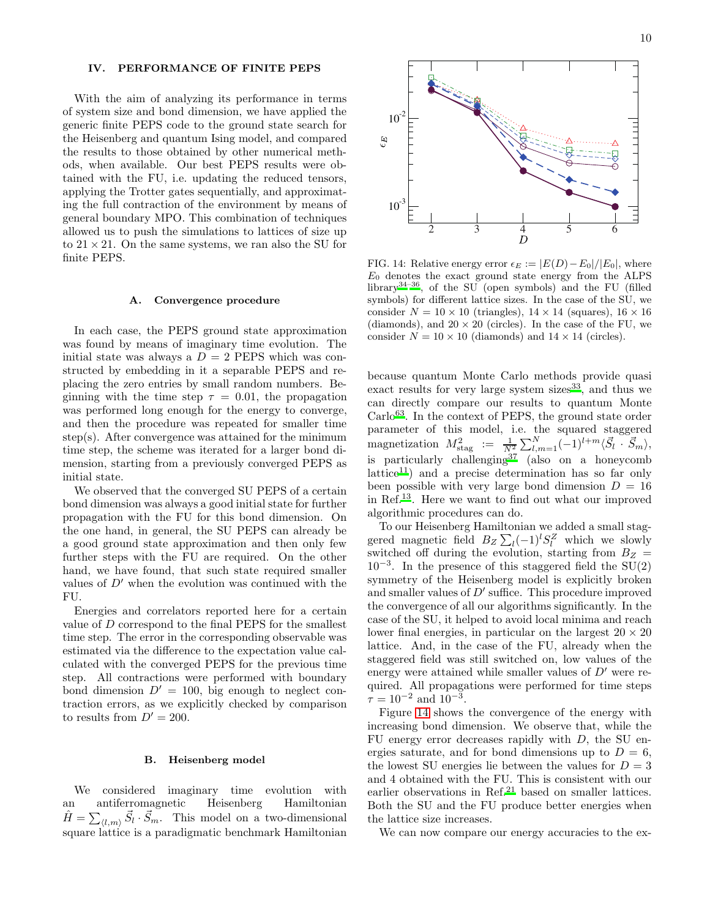## <span id="page-9-0"></span>IV. PERFORMANCE OF FINITE PEPS

With the aim of analyzing its performance in terms of system size and bond dimension, we have applied the generic finite PEPS code to the ground state search for the Heisenberg and quantum Ising model, and compared the results to those obtained by other numerical methods, when available. Our best PEPS results were obtained with the FU, i.e. updating the reduced tensors, applying the Trotter gates sequentially, and approximating the full contraction of the environment by means of general boundary MPO. This combination of techniques allowed us to push the simulations to lattices of size up to  $21 \times 21$ . On the same systems, we ran also the SU for finite PEPS.

### A. Convergence procedure

In each case, the PEPS ground state approximation was found by means of imaginary time evolution. The initial state was always a  $D = 2$  PEPS which was constructed by embedding in it a separable PEPS and replacing the zero entries by small random numbers. Beginning with the time step  $\tau = 0.01$ , the propagation was performed long enough for the energy to converge, and then the procedure was repeated for smaller time step(s). After convergence was attained for the minimum time step, the scheme was iterated for a larger bond dimension, starting from a previously converged PEPS as initial state.

We observed that the converged SU PEPS of a certain bond dimension was always a good initial state for further propagation with the FU for this bond dimension. On the one hand, in general, the SU PEPS can already be a good ground state approximation and then only few further steps with the FU are required. On the other hand, we have found, that such state required smaller values of  $D'$  when the evolution was continued with the FU.

Energies and correlators reported here for a certain value of D correspond to the final PEPS for the smallest time step. The error in the corresponding observable was estimated via the difference to the expectation value calculated with the converged PEPS for the previous time step. All contractions were performed with boundary bond dimension  $D' = 100$ , big enough to neglect contraction errors, as we explicitly checked by comparison to results from  $D' = 200$ .

## B. Heisenberg model

We considered imaginary time evolution with an antiferromagnetic Heisenberg Hamiltonian  $\hat{H} = \sum_{\langle l,m \rangle} \vec{S}_l \cdot \vec{S}_m$ . This model on a two-dimensional square lattice is a paradigmatic benchmark Hamiltonian



<span id="page-9-1"></span>FIG. 14: Relative energy error  $\epsilon_E := |E(D) - E_0|/|E_0|$ , where  $E_0$  denotes the exact ground state energy from the ALPS librar[y](#page-16-31)<sup>34-36</sup>, of the SU (open symbols) and the FU (filled symbols) for different lattice sizes. In the case of the SU, we consider  $N = 10 \times 10$  (triangles),  $14 \times 14$  (squares),  $16 \times 16$ (diamonds), and  $20 \times 20$  (circles). In the case of the FU, we consider  $N = 10 \times 10$  (diamonds) and  $14 \times 14$  (circles).

because quantum Monte Carlo methods provide quasi exact results for very large system sizes $33$ , and thus we can directly compare our results to quantum Monte Carlo[63](#page-17-4). In the context of PEPS, the ground state order parameter of this model, i.e. the squared staggered magnetization  $M_{\text{stag}}^2 := \frac{1}{N^2} \sum_{l,m=1}^N (-1)^{l+m} \langle \vec{S}_l \cdot \vec{S}_m \rangle$ , is particularly challenging<sup>[37](#page-16-33)</sup> (also on a honeycomb  $lattice<sup>11</sup>$  $lattice<sup>11</sup>$  $lattice<sup>11</sup>$  and a precise determination has so far only been possible with very large bond dimension  $D = 16$ in Ref.[13](#page-16-35). Here we want to find out what our improved algorithmic procedures can do.

To our Heisenberg Hamiltonian we added a small staggered magnetic field  $B_Z \sum_l (-1)^l S_l^Z$  which we slowly switched off during the evolution, starting from  $B_Z =$  $10^{-3}$ . In the presence of this staggered field the SU(2) symmetry of the Heisenberg model is explicitly broken and smaller values of D′ suffice. This procedure improved the convergence of all our algorithms significantly. In the case of the SU, it helped to avoid local minima and reach lower final energies, in particular on the largest  $20 \times 20$ lattice. And, in the case of the FU, already when the staggered field was still switched on, low values of the energy were attained while smaller values of  $D'$  were required. All propagations were performed for time steps  $\tau = 10^{-2}$  and  $10^{-3}$ .

Figure [14](#page-9-1) shows the convergence of the energy with increasing bond dimension. We observe that, while the FU energy error decreases rapidly with  $D$ , the SU energies saturate, and for bond dimensions up to  $D = 6$ , the lowest SU energies lie between the values for  $D = 3$ and 4 obtained with the FU. This is consistent with our earlier observations in Ref. $^{21}$  $^{21}$  $^{21}$  based on smaller lattices. Both the SU and the FU produce better energies when the lattice size increases.

We can now compare our energy accuracies to the ex-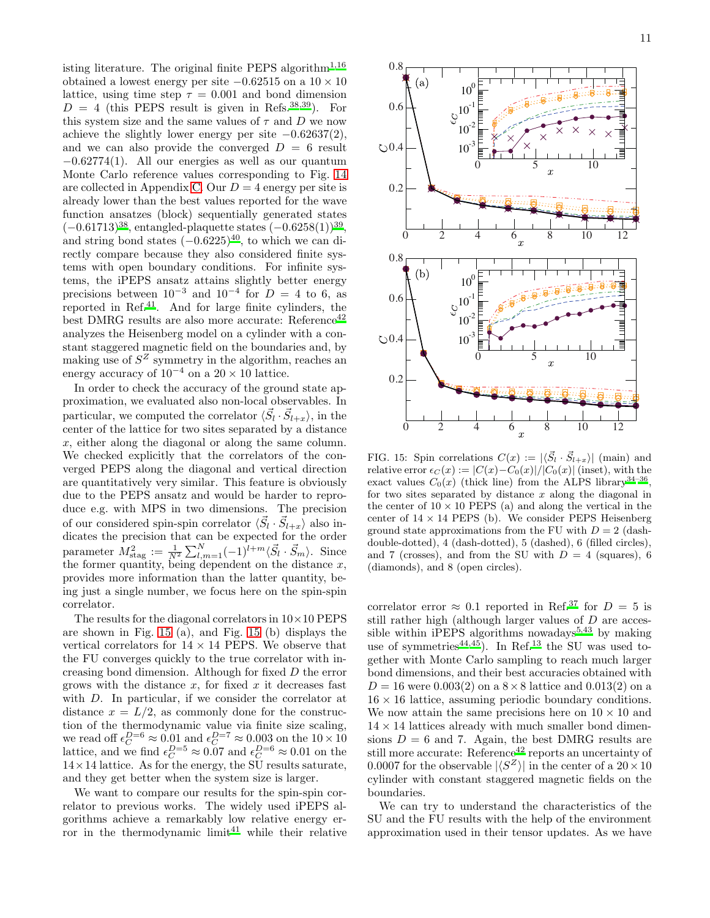isting literature. The original finite PEPS algorithm<sup>[1](#page-15-0)[,16](#page-16-6)</sup> obtained a lowest energy per site  $-0.62515$  on a  $10 \times 10$ lattice, using time step  $\tau = 0.001$  and bond dimension  $D = 4$  (this PEPS result is given in Refs.<sup>[38](#page-16-36)[,39](#page-16-37)</sup>). For this system size and the same values of  $\tau$  and  $D$  we now achieve the slightly lower energy per site  $-0.62637(2)$ , and we can also provide the converged  $D = 6$  result  $-0.62774(1)$ . All our energies as well as our quantum Monte Carlo reference values corresponding to Fig. [14](#page-9-1) are collected in Appendix [C.](#page-15-3) Our  $D = 4$  energy per site is already lower than the best values reported for the wave function ansatzes (block) sequentially generated states  $(-0.61713)^{38}$  $(-0.61713)^{38}$  $(-0.61713)^{38}$ , entangled-plaquette states  $(-0.6258(1))^{39}$  $(-0.6258(1))^{39}$  $(-0.6258(1))^{39}$ , and string bond states  $(-0.6225)^{40}$  $(-0.6225)^{40}$  $(-0.6225)^{40}$ , to which we can directly compare because they also considered finite systems with open boundary conditions. For infinite systems, the iPEPS ansatz attains slightly better energy precisions between  $10^{-3}$  and  $10^{-4}$  for  $D = 4$  to 6, as reported in Ref.<sup>[41](#page-16-39)</sup>. And for large finite cylinders, the best DMRG results are also more accurate: Reference<sup>[42](#page-16-40)</sup> analyzes the Heisenberg model on a cylinder with a constant staggered magnetic field on the boundaries and, by making use of  $S^Z$  symmetry in the algorithm, reaches an energy accuracy of  $10^{-4}$  on a  $20 \times 10$  lattice.

In order to check the accuracy of the ground state approximation, we evaluated also non-local observables. In particular, we computed the correlator  $\langle \vec{S}_l \cdot \vec{S}_{l+x} \rangle$ , in the center of the lattice for two sites separated by a distance x, either along the diagonal or along the same column. We checked explicitly that the correlators of the converged PEPS along the diagonal and vertical direction are quantitatively very similar. This feature is obviously due to the PEPS ansatz and would be harder to reproduce e.g. with MPS in two dimensions. The precision of our considered spin-spin correlator  $\langle \vec{S}_l \cdot \vec{S}_{l+x} \rangle$  also indicates the precision that can be expected for the order parameter  $M_{\text{stag}}^2 := \frac{1}{N^2} \sum_{l,m=1}^{N} (-1)^{l+m} \langle \vec{S}_l \cdot \vec{S}_m \rangle$ . Since the former quantity, being dependent on the distance  $x$ , provides more information than the latter quantity, being just a single number, we focus here on the spin-spin correlator.

The results for the diagonal correlators in  $10\times10$  PEPS are shown in Fig. [15](#page-10-0) (a), and Fig. [15](#page-10-0) (b) displays the vertical correlators for  $14 \times 14$  PEPS. We observe that the FU converges quickly to the true correlator with increasing bond dimension. Although for fixed D the error grows with the distance  $x$ , for fixed  $x$  it decreases fast with D. In particular, if we consider the correlator at distance  $x = L/2$ , as commonly done for the construction of the thermodynamic value via finite size scaling, we read off  $\epsilon_C^{D=6} \approx 0.01$  and  $\epsilon_C^{D=7} \approx 0.003$  on the  $10 \times 10$ lattice, and we find  $\epsilon_C^{D=5} \approx 0.07$  and  $\epsilon_C^{D=6} \approx 0.01$  on the  $14 \times 14$  lattice. As for the energy, the SU results saturate, and they get better when the system size is larger.

We want to compare our results for the spin-spin correlator to previous works. The widely used iPEPS algorithms achieve a remarkably low relative energy er-ror in the thermodynamic limit<sup>[41](#page-16-39)</sup> while their relative



<span id="page-10-0"></span>FIG. 15: Spin correlations  $C(x) := |\langle \vec{S}_l \cdot \vec{S}_{l+x} \rangle|$  (main) and relative error  $\epsilon_C(x) := |C(x)-C_0(x)|/|C_0(x)|$  (inset), with the exact values  $C_0(x)$  (thick line) from the ALPS library<sup>[34](#page-16-31)-36</sup> , for two sites separated by distance  $x$  along the diagonal in the center of  $10 \times 10$  PEPS (a) and along the vertical in the center of  $14 \times 14$  PEPS (b). We consider PEPS Heisenberg ground state approximations from the FU with  $D = 2$  (dashdouble-dotted), 4 (dash-dotted), 5 (dashed), 6 (filled circles), and 7 (crosses), and from the SU with  $D = 4$  (squares), 6 (diamonds), and 8 (open circles).

correlator error  $\approx 0.1$  reported in Ref.<sup>[37](#page-16-33)</sup> for  $D = 5$  is still rather high (although larger values of D are acces-sible within iPEPS algorithms nowadays<sup>[5](#page-16-5)[,43](#page-16-42)</sup> by making use of symmetries<sup>[44](#page-16-43)[,45](#page-16-44)</sup>). In Ref.<sup>[13](#page-16-35)</sup> the SU was used together with Monte Carlo sampling to reach much larger bond dimensions, and their best accuracies obtained with  $D = 16$  were 0.003(2) on a  $8 \times 8$  lattice and 0.013(2) on a  $16 \times 16$  lattice, assuming periodic boundary conditions. We now attain the same precisions here on  $10 \times 10$  and  $14 \times 14$  lattices already with much smaller bond dimensions  $D = 6$  and 7. Again, the best DMRG results are still more accurate: Reference<sup>[42](#page-16-40)</sup> reports an uncertainty of 0.0007 for the observable  $|\langle S^Z \rangle|$  in the center of a  $20 \times 10$ cylinder with constant staggered magnetic fields on the boundaries.

We can try to understand the characteristics of the SU and the FU results with the help of the environment approximation used in their tensor updates. As we have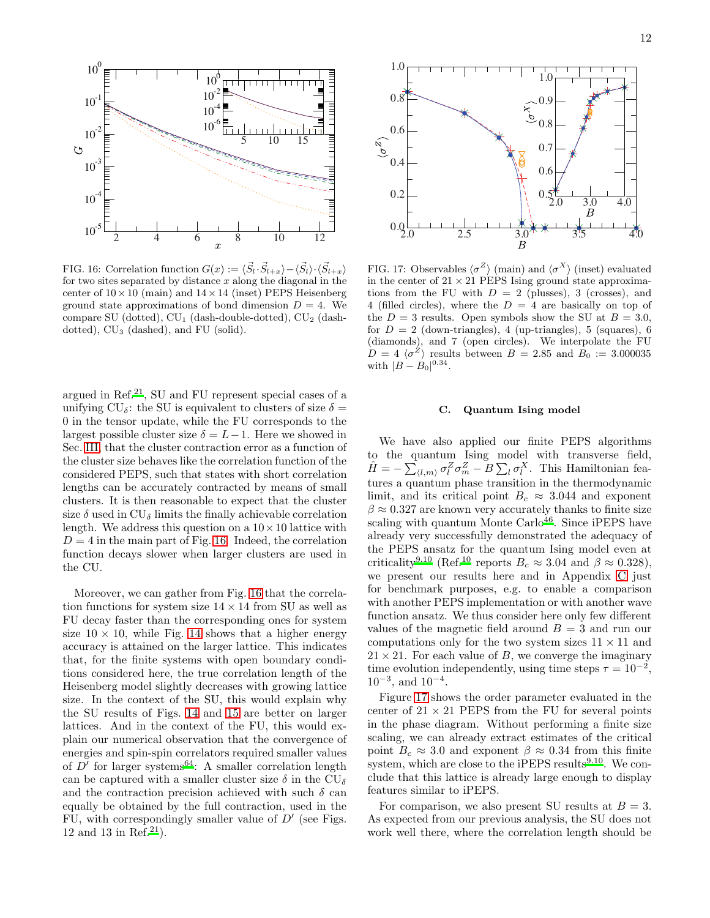

<span id="page-11-0"></span>FIG. 16: Correlation function  $G(x) := \langle \vec{S}_l \cdot \vec{S}_{l+x} \rangle - \langle \vec{S}_l \rangle \cdot \langle \vec{S}_{l+x} \rangle$ for two sites separated by distance  $x$  along the diagonal in the center of  $10 \times 10$  (main) and  $14 \times 14$  (inset) PEPS Heisenberg ground state approximations of bond dimension  $D = 4$ . We compare SU (dotted),  $CU_1$  (dash-double-dotted),  $CU_2$  (dashdotted),  $CU_3$  (dashed), and FU (solid).

argued in Ref.<sup>[21](#page-16-9)</sup>, SU and FU represent special cases of a unifying  $CU_{\delta}$ : the SU is equivalent to clusters of size  $\delta =$ 0 in the tensor update, while the FU corresponds to the largest possible cluster size  $\delta = L-1$ . Here we showed in Sec. [III,](#page-2-0) that the cluster contraction error as a function of the cluster size behaves like the correlation function of the considered PEPS, such that states with short correlation lengths can be accurately contracted by means of small clusters. It is then reasonable to expect that the cluster size  $\delta$  used in CU<sub> $\delta$ </sub> limits the finally achievable correlation length. We address this question on a  $10 \times 10$  lattice with  $D = 4$  in the main part of Fig. [16.](#page-11-0) Indeed, the correlation function decays slower when larger clusters are used in the CU.

Moreover, we can gather from Fig. [16](#page-11-0) that the correlation functions for system size  $14 \times 14$  from SU as well as FU decay faster than the corresponding ones for system size  $10 \times 10$ , while Fig. [14](#page-9-1) shows that a higher energy accuracy is attained on the larger lattice. This indicates that, for the finite systems with open boundary conditions considered here, the true correlation length of the Heisenberg model slightly decreases with growing lattice size. In the context of the SU, this would explain why the SU results of Figs. [14](#page-9-1) and [15](#page-10-0) are better on larger lattices. And in the context of the FU, this would explain our numerical observation that the convergence of energies and spin-spin correlators required smaller values of  $D'$  for larger systems<sup>[64](#page-17-5)</sup>: A smaller correlation length can be captured with a smaller cluster size  $\delta$  in the CU<sub> $\delta$ </sub> and the contraction precision achieved with such  $\delta$  can equally be obtained by the full contraction, used in the FU, with correspondingly smaller value of  $D'$  (see Figs. 12 and 13 in Ref.<sup>[21](#page-16-9)</sup>).



<span id="page-11-1"></span>FIG. 17: Observables  $\langle \sigma^Z \rangle$  (main) and  $\langle \sigma^X \rangle$  (inset) evaluated in the center of  $21 \times 21$  PEPS Ising ground state approximations from the FU with  $D = 2$  (plusses), 3 (crosses), and 4 (filled circles), where the  $D = 4$  are basically on top of the  $D = 3$  results. Open symbols show the SU at  $B = 3.0$ , for  $D = 2$  (down-triangles), 4 (up-triangles), 5 (squares), 6 (diamonds), and 7 (open circles). We interpolate the FU  $D = 4 \langle \sigma^2 \rangle$  results between  $B = 2.85$  and  $B_0 := 3.000035$ with  $|B - B_0|^{0.34}$ .

### C. Quantum Ising model

We have also applied our finite PEPS algorithms to the quantum Ising model with transverse field,  $\hat{H} = -\sum_{\langle l,m \rangle} \sigma_l^Z \sigma_m^Z - \tilde{B} \sum_l \sigma_l^X$ . This Hamiltonian features a quantum phase transition in the thermodynamic limit, and its critical point  $B_c \approx 3.044$  and exponent  $\beta \approx 0.327$  are known very accurately thanks to finite size scaling with quantum Monte  $\text{Carlo}^{46}$  $\text{Carlo}^{46}$  $\text{Carlo}^{46}$ . Since iPEPS have already very successfully demonstrated the adequacy of the PEPS ansatz for the quantum Ising model even at criticality<sup>[9](#page-16-4)[,10](#page-16-46)</sup> (Ref.<sup>[10](#page-16-46)</sup> reports  $B_c \approx 3.04$  and  $\beta \approx 0.328$ ), we present our results here and in Appendix [C](#page-15-3) just for benchmark purposes, e.g. to enable a comparison with another PEPS implementation or with another wave function ansatz. We thus consider here only few different values of the magnetic field around  $B = 3$  and run our computations only for the two system sizes  $11 \times 11$  and  $21 \times 21$ . For each value of B, we converge the imaginary time evolution independently, using time steps  $\tau = 10^{-2}$ ,  $10^{-3}$ , and  $10^{-4}$ .

Figure [17](#page-11-1) shows the order parameter evaluated in the center of  $21 \times 21$  PEPS from the FU for several points in the phase diagram. Without performing a finite size scaling, we can already extract estimates of the critical point  $B_c \approx 3.0$  and exponent  $\beta \approx 0.34$  from this finite system, which are close to the iPEPS results $^{9,10}$  $^{9,10}$  $^{9,10}$  $^{9,10}$ . We conclude that this lattice is already large enough to display features similar to iPEPS.

For comparison, we also present SU results at  $B = 3$ . As expected from our previous analysis, the SU does not work well there, where the correlation length should be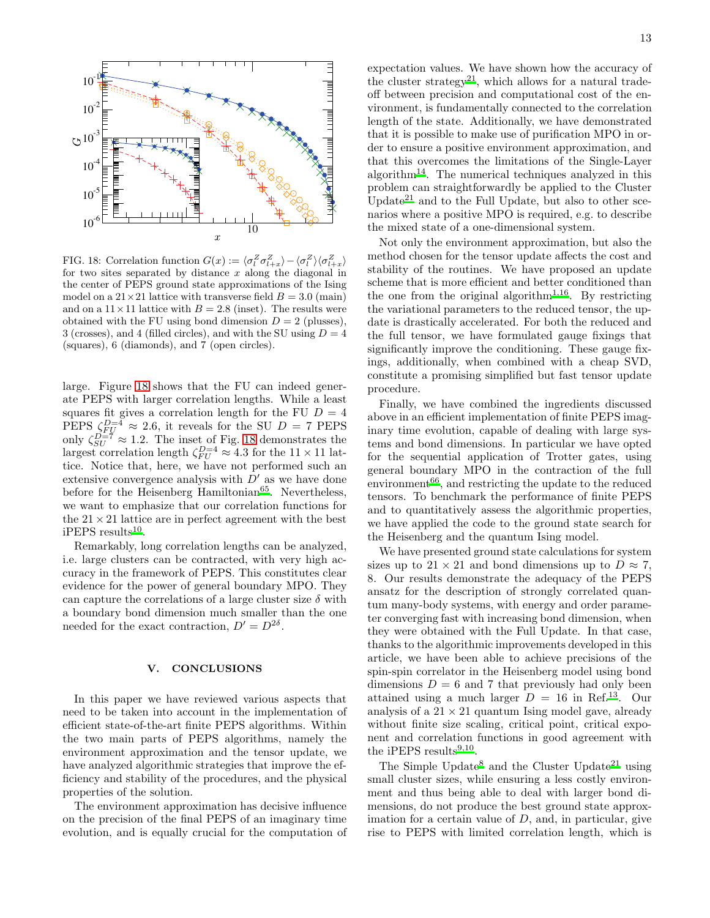

<span id="page-12-1"></span>FIG. 18: Correlation function  $G(x) := \langle \sigma_l^Z \sigma_{l+x}^Z \rangle - \langle \sigma_l^Z \rangle \langle \sigma_{l+x}^Z \rangle$ for two sites separated by distance  $x$  along the diagonal in the center of PEPS ground state approximations of the Ising model on a  $21 \times 21$  lattice with transverse field  $B = 3.0$  (main) and on a  $11 \times 11$  lattice with  $B = 2.8$  (inset). The results were obtained with the FU using bond dimension  $D = 2$  (plusses), 3 (crosses), and 4 (filled circles), and with the SU using  $D = 4$ (squares), 6 (diamonds), and 7 (open circles).

large. Figure [18](#page-12-1) shows that the FU can indeed generate PEPS with larger correlation lengths. While a least squares fit gives a correlation length for the FU  $D = 4$ PEPS  $\zeta_{FU}^{D=4} \approx 2.6$ , it reveals for the SU  $D = 7$  PEPS only  $\zeta_{SU}^{D=7} \approx 1.2$ . The inset of Fig. [18](#page-12-1) demonstrates the largest correlation length  $\zeta_{FU}^{D=4} \approx 4.3$  for the  $11 \times 11$  lattice. Notice that, here, we have not performed such an extensive convergence analysis with  $D'$  as we have done before for the Heisenberg Hamiltonian $^{65}$  $^{65}$  $^{65}$ . Nevertheless, we want to emphasize that our correlation functions for the  $21 \times 21$  lattice are in perfect agreement with the best  $iPEPS$  results<sup>[10](#page-16-46)</sup>.

Remarkably, long correlation lengths can be analyzed, i.e. large clusters can be contracted, with very high accuracy in the framework of PEPS. This constitutes clear evidence for the power of general boundary MPO. They can capture the correlations of a large cluster size  $\delta$  with a boundary bond dimension much smaller than the one needed for the exact contraction,  $D' = D^{2\delta}$ .

# <span id="page-12-0"></span>V. CONCLUSIONS

In this paper we have reviewed various aspects that need to be taken into account in the implementation of efficient state-of-the-art finite PEPS algorithms. Within the two main parts of PEPS algorithms, namely the environment approximation and the tensor update, we have analyzed algorithmic strategies that improve the efficiency and stability of the procedures, and the physical properties of the solution.

The environment approximation has decisive influence on the precision of the final PEPS of an imaginary time evolution, and is equally crucial for the computation of expectation values. We have shown how the accuracy of the cluster strategy<sup>[21](#page-16-9)</sup>, which allows for a natural tradeoff between precision and computational cost of the environment, is fundamentally connected to the correlation length of the state. Additionally, we have demonstrated that it is possible to make use of purification MPO in order to ensure a positive environment approximation, and that this overcomes the limitations of the Single-Layer algorithm<sup>[14](#page-16-19)</sup>. The numerical techniques analyzed in this problem can straightforwardly be applied to the Cluster Update<sup>[21](#page-16-9)</sup> and to the Full Update, but also to other scenarios where a positive MPO is required, e.g. to describe the mixed state of a one-dimensional system.

Not only the environment approximation, but also the method chosen for the tensor update affects the cost and stability of the routines. We have proposed an update scheme that is more efficient and better conditioned than the one from the original algorithm<sup>[1](#page-15-0)[,16](#page-16-6)</sup>. By restricting the variational parameters to the reduced tensor, the update is drastically accelerated. For both the reduced and the full tensor, we have formulated gauge fixings that significantly improve the conditioning. These gauge fixings, additionally, when combined with a cheap SVD, constitute a promising simplified but fast tensor update procedure.

Finally, we have combined the ingredients discussed above in an efficient implementation of finite PEPS imaginary time evolution, capable of dealing with large systems and bond dimensions. In particular we have opted for the sequential application of Trotter gates, using general boundary MPO in the contraction of the full environment $66$ , and restricting the update to the reduced tensors. To benchmark the performance of finite PEPS and to quantitatively assess the algorithmic properties, we have applied the code to the ground state search for the Heisenberg and the quantum Ising model.

We have presented ground state calculations for system sizes up to  $21 \times 21$  and bond dimensions up to  $D \approx 7$ , 8. Our results demonstrate the adequacy of the PEPS ansatz for the description of strongly correlated quantum many-body systems, with energy and order parameter converging fast with increasing bond dimension, when they were obtained with the Full Update. In that case, thanks to the algorithmic improvements developed in this article, we have been able to achieve precisions of the spin-spin correlator in the Heisenberg model using bond dimensions  $D = 6$  and 7 that previously had only been attained using a much larger  $D = 16$  in Ref.<sup>[13](#page-16-35)</sup>. Our analysis of a  $21 \times 21$  quantum Ising model gave, already without finite size scaling, critical point, critical exponent and correlation functions in good agreement with the iPEPS results<sup>[9](#page-16-4)[,10](#page-16-46)</sup>.

The Simple Update<sup>[8](#page-16-14)</sup> and the Cluster Update<sup>[21](#page-16-9)</sup> using small cluster sizes, while ensuring a less costly environment and thus being able to deal with larger bond dimensions, do not produce the best ground state approximation for a certain value of  $D$ , and, in particular, give rise to PEPS with limited correlation length, which is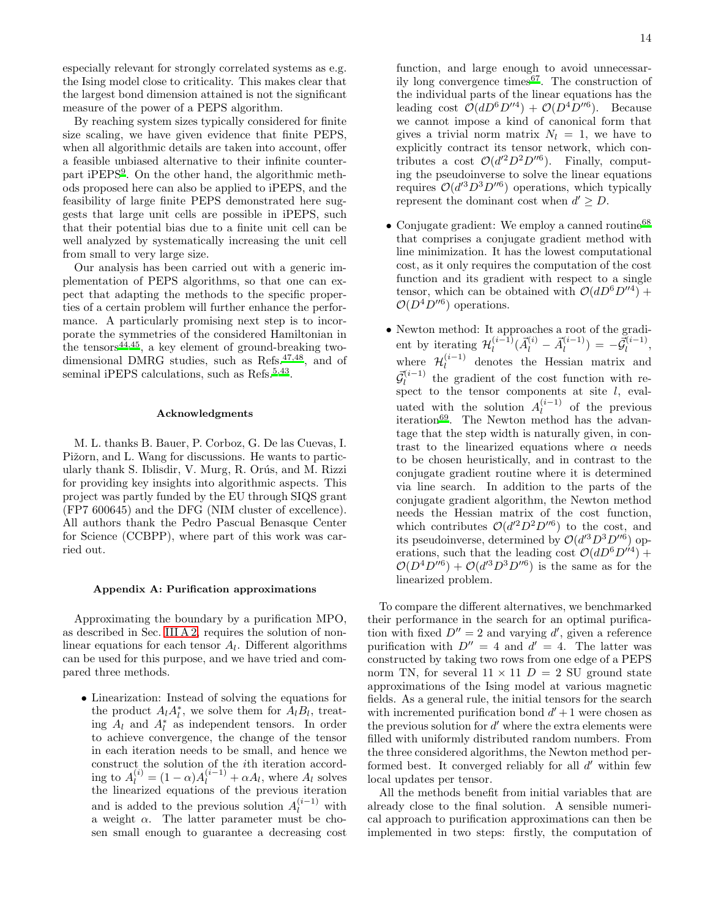especially relevant for strongly correlated systems as e.g. the Ising model close to criticality. This makes clear that the largest bond dimension attained is not the significant measure of the power of a PEPS algorithm.

By reaching system sizes typically considered for finite size scaling, we have given evidence that finite PEPS, when all algorithmic details are taken into account, offer a feasible unbiased alternative to their infinite counterpart iPEPS[9](#page-16-4) . On the other hand, the algorithmic methods proposed here can also be applied to iPEPS, and the feasibility of large finite PEPS demonstrated here suggests that large unit cells are possible in iPEPS, such that their potential bias due to a finite unit cell can be well analyzed by systematically increasing the unit cell from small to very large size.

Our analysis has been carried out with a generic implementation of PEPS algorithms, so that one can expect that adapting the methods to the specific properties of a certain problem will further enhance the performance. A particularly promising next step is to incorporate the symmetries of the considered Hamiltonian in the tensors<sup>[44](#page-16-43)[,45](#page-16-44)</sup>, a key element of ground-breaking twodimensional DMRG studies, such as Refs.[47](#page-16-47)[,48](#page-16-48), and of seminal iPEPS calculations, such as Refs.<sup>[5](#page-16-5)[,43](#page-16-42)</sup>.

### Acknowledgments

M. L. thanks B. Bauer, P. Corboz, G. De las Cuevas, I. Pižorn, and L. Wang for discussions. He wants to particularly thank S. Iblisdir, V. Murg, R. Orús, and M. Rizzi for providing key insights into algorithmic aspects. This project was partly funded by the EU through SIQS grant (FP7 600645) and the DFG (NIM cluster of excellence). All authors thank the Pedro Pascual Benasque Center for Science (CCBPP), where part of this work was carried out.

#### <span id="page-13-0"></span>Appendix A: Purification approximations

Approximating the boundary by a purification MPO, as described in Sec. [III A 2,](#page-3-2) requires the solution of nonlinear equations for each tensor  $A_l$ . Different algorithms can be used for this purpose, and we have tried and compared three methods.

• Linearization: Instead of solving the equations for the product  $A_l A_l^*$ , we solve them for  $A_l B_l$ , treating  $A_l$  and  $A_l^*$  as independent tensors. In order to achieve convergence, the change of the tensor in each iteration needs to be small, and hence we construct the solution of the ith iteration according to  $A_l^{(i)} = (1 - \alpha)A_l^{(i-1)} + \alpha A_l$ , where  $A_l$  solves the linearized equations of the previous iteration and is added to the previous solution  $A_l^{(i-1)}$  with a weight  $\alpha$ . The latter parameter must be chosen small enough to guarantee a decreasing cost

function, and large enough to avoid unnecessarily long convergence times $67$ . The construction of the individual parts of the linear equations has the leading cost  $\mathcal{O}(dD^6D''^4) + \mathcal{O}(D^4D''^6)$ . Because we cannot impose a kind of canonical form that gives a trivial norm matrix  $N_l = 1$ , we have to explicitly contract its tensor network, which contributes a cost  $\mathcal{O}(d'^2D^2D''^6)$ . Finally, computing the pseudoinverse to solve the linear equations requires  $\mathcal{O}(d^{3}D^{3}D''^{6})$  operations, which typically represent the dominant cost when  $d' \geq D$ .

- Conjugate gradient: We employ a canned routine<sup>[68](#page-17-9)</sup> that comprises a conjugate gradient method with line minimization. It has the lowest computational cost, as it only requires the computation of the cost function and its gradient with respect to a single tensor, which can be obtained with  $\mathcal{O}(dD^6D''^4)$  +  $\mathcal{O}(D^4D''^6)$  operations.
- Newton method: It approaches a root of the gradient by iterating  $\mathcal{H}_l^{(i-1)}$  $\vec{A}_l^{(i-1)}(\vec{A}_l^{(i)} - \vec{A}_l^{(i-1)})$  $\bar{G}_l^{(i-1)}$ ) =  $-\vec{\mathcal{G}}_l^{(i-1)}$  $\frac{1}{l}$ , where  $\mathcal{H}_l^{(i-1)}$  denotes the Hessian matrix and  $\vec{\mathcal{G}}_l^{(i-1)}$  the gradient of the cost function with respect to the tensor components at site  $l$ , evaluated with the solution  $A_l^{(i-1)}$  of the previous iteration[69](#page-17-10). The Newton method has the advantage that the step width is naturally given, in contrast to the linearized equations where  $\alpha$  needs to be chosen heuristically, and in contrast to the conjugate gradient routine where it is determined via line search. In addition to the parts of the conjugate gradient algorithm, the Newton method needs the Hessian matrix of the cost function, which contributes  $\mathcal{O}(d^2D^2D^{\prime\prime6})$  to the cost, and its pseudoinverse, determined by  $\mathcal{O}(d^{3}D^{3}D''^{6})$  operations, such that the leading cost  $\mathcal{O}(dD^6D^{\prime\prime 4})$  +  $\mathcal{O}(D^4D''^6) + \mathcal{O}(d'^3D^3D''^6)$  is the same as for the linearized problem.

To compare the different alternatives, we benchmarked their performance in the search for an optimal purification with fixed  $D'' = 2$  and varying d', given a reference purification with  $D'' = 4$  and  $d' = 4$ . The latter was constructed by taking two rows from one edge of a PEPS norm TN, for several  $11 \times 11$   $D = 2$  SU ground state approximations of the Ising model at various magnetic fields. As a general rule, the initial tensors for the search with incremented purification bond  $d' + 1$  were chosen as the previous solution for  $d'$  where the extra elements were filled with uniformly distributed random numbers. From the three considered algorithms, the Newton method performed best. It converged reliably for all  $d'$  within few local updates per tensor.

All the methods benefit from initial variables that are already close to the final solution. A sensible numerical approach to purification approximations can then be implemented in two steps: firstly, the computation of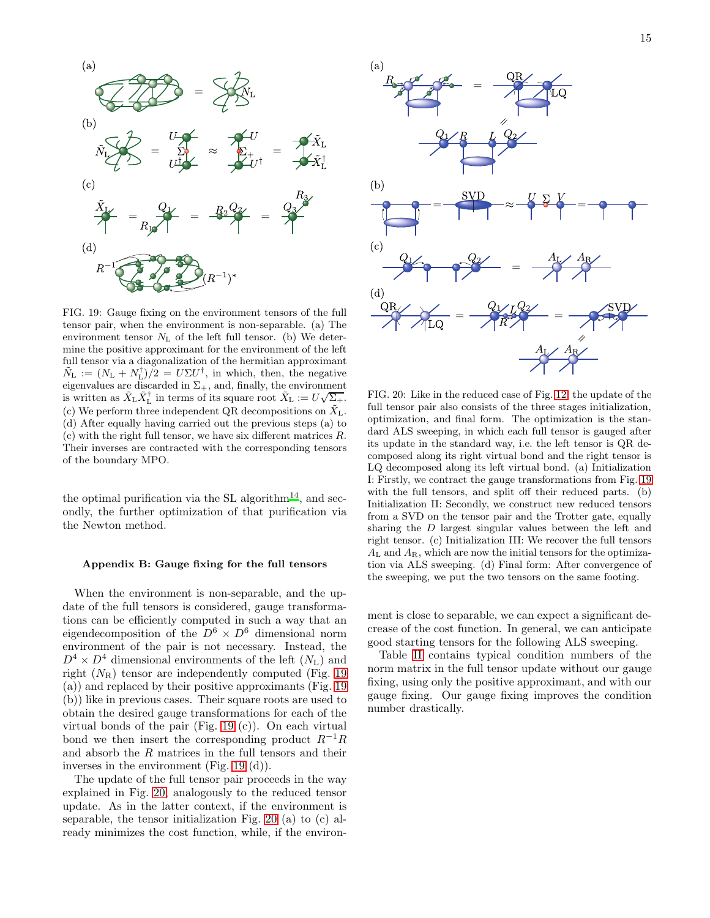

<span id="page-14-1"></span>FIG. 19: Gauge fixing on the environment tensors of the full tensor pair, when the environment is non-separable. (a) The environment tensor  $N_{\rm L}$  of the left full tensor. (b) We determine the positive approximant for the environment of the left full tensor via a diagonalization of the hermitian approximant  $\tilde{N}_{\text{L}} := (N_{\text{L}} + N_{\text{L}}^{\dagger})/2 = U \Sigma U^{\dagger}$ , in which, then, the negative eigenvalues are discarded in  $\Sigma_{+}$ , and, finally, the environment is written as  $\tilde{X}_L \tilde{X}_L^{\dagger}$  in terms of its square root  $\tilde{X}_L := U \sqrt{\Sigma_+}.$ (c) We perform three independent QR decompositions on  $\bar{X}_L$ . (d) After equally having carried out the previous steps (a) to (c) with the right full tensor, we have six different matrices R. Their inverses are contracted with the corresponding tensors of the boundary MPO.

the optimal purification via the SL algorithm<sup>[14](#page-16-19)</sup>, and secondly, the further optimization of that purification via the Newton method.

#### <span id="page-14-0"></span>Appendix B: Gauge fixing for the full tensors

When the environment is non-separable, and the update of the full tensors is considered, gauge transformations can be efficiently computed in such a way that an eigendecomposition of the  $D^6 \times D^6$  dimensional norm environment of the pair is not necessary. Instead, the  $D^4 \times D^4$  dimensional environments of the left  $(N_L)$  and right  $(N_R)$  tensor are independently computed (Fig. [19](#page-14-1) (a)) and replaced by their positive approximants (Fig. [19](#page-14-1) (b)) like in previous cases. Their square roots are used to obtain the desired gauge transformations for each of the virtual bonds of the pair (Fig. [19](#page-14-1) (c)). On each virtual bond we then insert the corresponding product  $R^{-1}R$ and absorb the R matrices in the full tensors and their inverses in the environment (Fig. [19](#page-14-1) (d)).

The update of the full tensor pair proceeds in the way explained in Fig. [20,](#page-14-2) analogously to the reduced tensor update. As in the latter context, if the environment is separable, the tensor initialization Fig. [20](#page-14-2) (a) to (c) already minimizes the cost function, while, if the environ-



<span id="page-14-2"></span>FIG. 20: Like in the reduced case of Fig. [12,](#page-7-0) the update of the full tensor pair also consists of the three stages initialization, optimization, and final form. The optimization is the standard ALS sweeping, in which each full tensor is gauged after its update in the standard way, i.e. the left tensor is QR decomposed along its right virtual bond and the right tensor is LQ decomposed along its left virtual bond. (a) Initialization I: Firstly, we contract the gauge transformations from Fig. [19](#page-14-1) with the full tensors, and split off their reduced parts. (b) Initialization II: Secondly, we construct new reduced tensors from a SVD on the tensor pair and the Trotter gate, equally sharing the D largest singular values between the left and right tensor. (c) Initialization III: We recover the full tensors  $A_L$  and  $A_R$ , which are now the initial tensors for the optimization via ALS sweeping. (d) Final form: After convergence of the sweeping, we put the two tensors on the same footing.

ment is close to separable, we can expect a significant decrease of the cost function. In general, we can anticipate good starting tensors for the following ALS sweeping.

Table [II](#page-15-4) contains typical condition numbers of the norm matrix in the full tensor update without our gauge fixing, using only the positive approximant, and with our gauge fixing. Our gauge fixing improves the condition number drastically.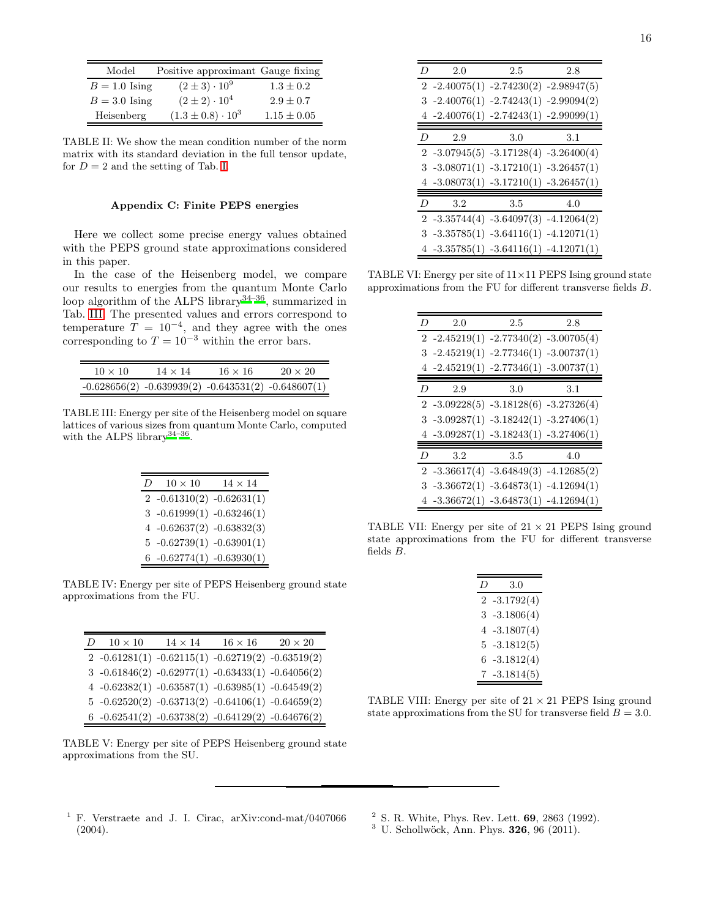| Model           | Positive approximant Gauge fixing |                 |
|-----------------|-----------------------------------|-----------------|
| $B = 1.0$ Ising | $(2 \pm 3) \cdot 10^9$            | $1.3 + 0.2$     |
| $B = 3.0$ Ising | $(2 \pm 2) \cdot 10^4$            | $2.9 \pm 0.7$   |
| Heisenberg      | $(1.3 \pm 0.8) \cdot 10^3$        | $1.15 \pm 0.05$ |

TABLE II: We show the mean condition number of the norm matrix with its standard deviation in the full tensor update, for  $D = 2$  and the setting of Tab. [I.](#page-7-1)

# <span id="page-15-4"></span><span id="page-15-3"></span>Appendix C: Finite PEPS energies

Here we collect some precise energy values obtained with the PEPS ground state approximations considered in this paper.

In the case of the Heisenberg model, we compare our results to energies from the quantum Monte Carlo loop algorithm of the ALPS library<sup>[34](#page-16-31)[–36](#page-16-41)</sup>, summarized in Tab. [III.](#page-15-5) The presented values and errors correspond to temperature  $T = 10^{-4}$ , and they agree with the ones corresponding to  $T = 10^{-3}$  within the error bars.

| $10 \times 10$ | $14 \times 14$ | $16 \times 16$                                              | $20 \times 20$ |
|----------------|----------------|-------------------------------------------------------------|----------------|
|                |                | $-0.628656(2)$ $-0.639939(2)$ $-0.643531(2)$ $-0.648607(1)$ |                |

TABLE III: Energy per site of the Heisenberg model on square lattices of various sizes from quantum Monte Carlo, computed with the ALPS library<sup>[34](#page-16-31)-36</sup>.

<span id="page-15-5"></span>

| D | $10 \times 10$                | $14 \times 14$ |
|---|-------------------------------|----------------|
|   | $2 -0.61310(2) -0.62631(1)$   |                |
|   | $3 -0.61999(1) -0.63246(1)$   |                |
|   | 4 $-0.62637(2)$ $-0.63832(3)$ |                |
|   | $5 -0.62739(1) -0.63901(1)$   |                |
|   | $6 -0.62774(1) -0.63930(1)$   |                |

TABLE IV: Energy per site of PEPS Heisenberg ground state approximations from the FU.

| $\overline{D}$ | $10 \times 10$ | $14 \times 14$ | $16 \times 16$                                            | $20 \times 20$ |
|----------------|----------------|----------------|-----------------------------------------------------------|----------------|
|                |                |                | $2 -0.61281(1) -0.62115(1) -0.62719(2) -0.63519(2)$       |                |
|                |                |                | $3 -0.61846(2) -0.62977(1) -0.63433(1) -0.64056(2)$       |                |
|                |                |                | 4 $-0.62382(1)$ $-0.63587(1)$ $-0.63985(1)$ $-0.64549(2)$ |                |
|                |                |                | $5 -0.62520(2) -0.63713(2) -0.64106(1) -0.64659(2)$       |                |
|                |                |                | 6 -0.62541(2) -0.63738(2) -0.64129(2) -0.64676(2)         |                |

TABLE V: Energy per site of PEPS Heisenberg ground state approximations from the SU.

| D | 2.0                                         | 2.5                                     | 2.8 |
|---|---------------------------------------------|-----------------------------------------|-----|
|   | $2 -2.40075(1) -2.74230(2) -2.98947(5)$     |                                         |     |
|   | $3 -2.40076(1) -2.74243(1) -2.99094(2)$     |                                         |     |
|   | 4 $-2.40076(1)$ $-2.74243(1)$ $-2.99099(1)$ |                                         |     |
| D | 2.9                                         | 3.0                                     | 3.1 |
|   | $2 -3.07945(5) -3.17128(4) -3.26400(4)$     |                                         |     |
|   | $3 -3.08071(1) -3.17210(1) -3.26457(1)$     |                                         |     |
|   | 4 $-3.08073(1)$ $-3.17210(1)$ $-3.26457(1)$ |                                         |     |
| D | 3.2                                         | 3.5                                     | 4.0 |
|   | $2 -3.35744(4) -3.64097(3) -4.12064(2)$     |                                         |     |
|   | $3 -3.35785(1) -3.64116(1) -4.12071(1)$     |                                         |     |
|   |                                             | $4 -3.35785(1) -3.64116(1) -4.12071(1)$ |     |

TABLE VI: Energy per site of  $11 \times 11$  PEPS Ising ground state approximations from the FU for different transverse fields B.

| D | 2.0                                   | 2.5                                     | 2.8 |
|---|---------------------------------------|-----------------------------------------|-----|
|   |                                       | $2 -2.45219(1) -2.77340(2) -3.00705(4)$ |     |
|   |                                       | $3 -2.45219(1) -2.77346(1) -3.00737(1)$ |     |
|   |                                       | $4 -2.45219(1) -2.77346(1) -3.00737(1)$ |     |
| D | 2.9                                   | 3.0                                     | 3.1 |
|   |                                       | $2 -3.09228(5) -3.18128(6) -3.27326(4)$ |     |
|   |                                       | $3 -3.09287(1) -3.18242(1) -3.27406(1)$ |     |
|   |                                       | $4 -3.09287(1) -3.18243(1) -3.27406(1)$ |     |
| D | 3.2                                   | 3.5                                     | 4.0 |
|   |                                       | $2 -3.36617(4) -3.64849(3) -4.12685(2)$ |     |
|   |                                       | $3 -3.36672(1) -3.64873(1) -4.12694(1)$ |     |
|   | 4 -3.36672(1) -3.64873(1) -4.12694(1) |                                         |     |

TABLE VII: Energy per site of  $21 \times 21$  PEPS Ising ground state approximations from the FU for different transverse fields B.

| $\left( \right)$ | 3.0          |
|------------------|--------------|
| 2                | $-3.1792(4)$ |
| 3                | $-3.1806(4)$ |
| 4                | $-3.1807(4)$ |
| 5                | $-3.1812(5)$ |
| 6.               | $-3.1812(4)$ |
|                  | $-3.1814(5)$ |

TABLE VIII: Energy per site of  $21 \times 21$  PEPS Ising ground state approximations from the SU for transverse field  $B = 3.0$ .

- <span id="page-15-0"></span><sup>1</sup> F. Verstraete and J. I. Cirac, arXiv:cond-mat/0407066 (2004).
- <span id="page-15-1"></span><sup>2</sup> S. R. White, Phys. Rev. Lett. 69, 2863 (1992).
- <span id="page-15-2"></span> $3$  U. Schollwöck, Ann. Phys. 326, 96 (2011).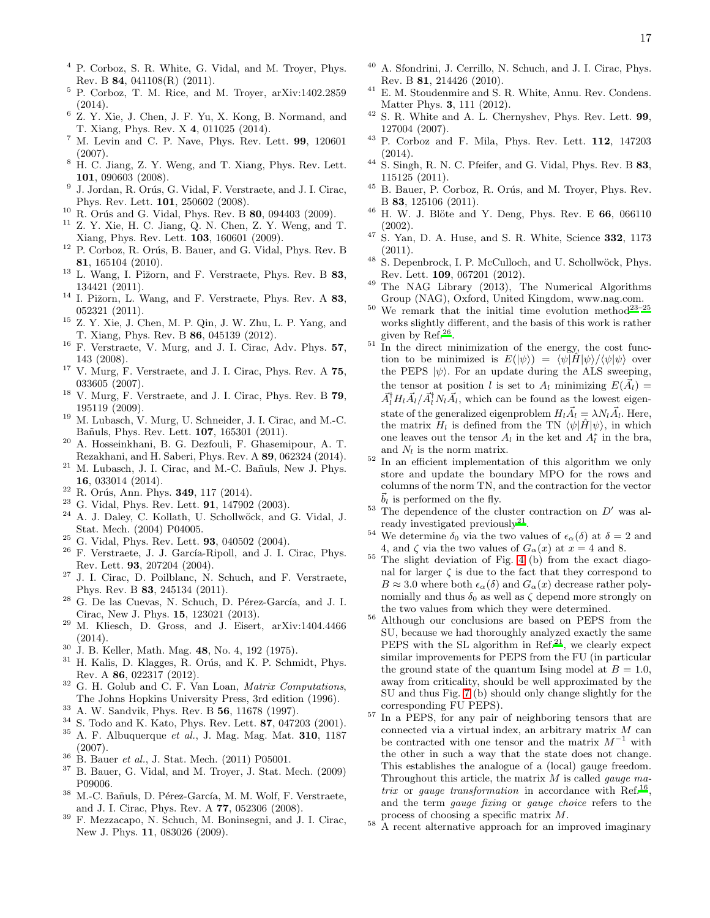- <span id="page-16-0"></span><sup>4</sup> P. Corboz, S. R. White, G. Vidal, and M. Troyer, Phys. Rev. B 84, 041108(R) (2011).
- <span id="page-16-5"></span><sup>5</sup> P. Corboz, T. M. Rice, and M. Troyer, arXiv:1402.2859 (2014).
- <span id="page-16-1"></span> $^6$  Z. Y. Xie, J. Chen, J. F. Yu, X. Kong, B. Normand, and T. Xiang, Phys. Rev. X 4, 011025 (2014).
- <span id="page-16-2"></span>M. Levin and C. P. Nave, Phys. Rev. Lett. 99, 120601 (2007).
- <span id="page-16-14"></span><sup>8</sup> H. C. Jiang, Z. Y. Weng, and T. Xiang, Phys. Rev. Lett. 101, 090603 (2008).
- <span id="page-16-4"></span>9 J. Jordan, R. Orús, G. Vidal, F. Verstraete, and J. I. Cirac, Phys. Rev. Lett. 101, 250602 (2008).
- <span id="page-16-46"></span> $10$  R. Orús and G. Vidal, Phys. Rev. B 80, 094403 (2009).
- <span id="page-16-34"></span><sup>11</sup> Z. Y. Xie, H. C. Jiang, Q. N. Chen, Z. Y. Weng, and T. Xiang, Phys. Rev. Lett. 103, 160601 (2009).
- <span id="page-16-10"></span><sup>12</sup> P. Corboz, R. Orús, B. Bauer, and G. Vidal, Phys. Rev. B 81, 165104 (2010).
- <span id="page-16-35"></span> $13$  L. Wang, I. Pižorn, and F. Verstraete, Phys. Rev. B 83, 134421 (2011).
- <span id="page-16-19"></span> $^{14}$  I. Pižorn, L. Wang, and F. Verstraete, Phys. Rev. A  $\bf 83,$ 052321 (2011).
- <span id="page-16-3"></span><sup>15</sup> Z. Y. Xie, J. Chen, M. P. Qin, J. W. Zhu, L. P. Yang, and T. Xiang, Phys. Rev. B 86, 045139 (2012).
- <span id="page-16-6"></span> $16$  F. Verstraete, V. Murg, and J. I. Cirac, Adv. Phys. 57, 143 (2008).
- <span id="page-16-7"></span><sup>17</sup> V. Murg, F. Verstraete, and J. I. Cirac, Phys. Rev. A  $75$ , 033605 (2007).
- <span id="page-16-27"></span><sup>18</sup> V. Murg, F. Verstraete, and J. I. Cirac, Phys. Rev. B 79, 195119 (2009).
- <sup>19</sup> M. Lubasch, V. Murg, U. Schneider, J. I. Cirac, and M.-C. Ba˜nuls, Phys. Rev. Lett. 107, 165301 (2011).
- <span id="page-16-8"></span><sup>20</sup> A. Hosseinkhani, B. G. Dezfouli, F. Ghasemipour, A. T. Rezakhani, and H. Saberi, Phys. Rev. A 89, 062324 (2014).
- <span id="page-16-9"></span> $21$  M. Lubasch, J. I. Cirac, and M.-C. Bañuls, New J. Phys. 16, 033014 (2014).
- <span id="page-16-11"></span><sup>22</sup> R. Orús, Ann. Phys. **349**, 117 (2014).
- <span id="page-16-30"></span><sup>23</sup> G. Vidal, Phys. Rev. Lett. **91**, 147902 (2003).
- A. J. Daley, C. Kollath, U. Schollwöck, and G. Vidal, J. Stat. Mech. (2004) P04005.
- <span id="page-16-49"></span> $25$  G. Vidal, Phys. Rev. Lett. 93, 040502 (2004).
- <span id="page-16-20"></span> $^{26}$  F. Verstraete, J. J. García-Ripoll, and J. I. Cirac, Phys. Rev. Lett. 93, 207204 (2004).
- <span id="page-16-21"></span><sup>27</sup> J. I. Cirac, D. Poilblanc, N. Schuch, and F. Verstraete, Phys. Rev. B 83, 245134 (2011).
- <span id="page-16-22"></span> $28$  G. De las Cuevas, N. Schuch, D. Pérez-García, and J. I. Cirac, New J. Phys. 15, 123021 (2013).
- <span id="page-16-23"></span> $29$  M. Kliesch, D. Gross, and J. Eisert, arXiv:1404.4466 (2014).
- <span id="page-16-26"></span> $\frac{30}{\text{J}}$  J. B. Keller, Math. Mag. 48, No. 4, 192 (1975).<br> $\frac{31}{\text{H}}$  Kelis D. Klagges, B. Omis, and K. B. Sabw
- <span id="page-16-50"></span>H. Kalis, D. Klagges, R. Orús, and K. P. Schmidt, Phys. Rev. A 86, 022317 (2012).
- <span id="page-16-29"></span> $32$  G. H. Golub and C. F. Van Loan, *Matrix Computations*, The Johns Hopkins University Press, 3rd edition (1996).
- <span id="page-16-32"></span><sup>33</sup> A. W. Sandvik, Phys. Rev. B 56, 11678 (1997).
- <span id="page-16-31"></span><sup>34</sup> S. Todo and K. Kato, Phys. Rev. Lett. **87**, 047203 (2001).<br><sup>35</sup> A. F. Albuquerque et al., I. Mag. Mag. Mat. **310**, 1187 <sup>35</sup> A. F. Albuquerque et al., J. Mag. Mag. Mat. 310, 1187 (2007).
- <span id="page-16-41"></span><sup>36</sup> B. Bauer *et al.*, J. Stat. Mech. (2011) P05001.
- <span id="page-16-33"></span><sup>37</sup> B. Bauer, G. Vidal, and M. Troyer, J. Stat. Mech. (2009) P09006.
- <span id="page-16-36"></span><sup>38</sup> M.-C. Bañuls, D. Pérez-García, M. M. Wolf, F. Verstraete, and J. I. Cirac, Phys. Rev. A 77, 052306 (2008).
- <span id="page-16-37"></span><sup>39</sup> F. Mezzacapo, N. Schuch, M. Boninsegni, and J. I. Cirac, New J. Phys. 11, 083026 (2009).
- <span id="page-16-38"></span>A. Sfondrini, J. Cerrillo, N. Schuch, and J. I. Cirac, Phys. Rev. B 81, 214426 (2010).
- <span id="page-16-39"></span><sup>41</sup> E. M. Stoudenmire and S. R. White, Annu. Rev. Condens. Matter Phys. 3, 111 (2012).
- <span id="page-16-40"></span> $^{42}$  S. R. White and A. L. Chernyshev, Phys. Rev. Lett. **99**, 127004 (2007).
- <span id="page-16-42"></span><sup>43</sup> P. Corboz and F. Mila, Phys. Rev. Lett. 112, 147203 (2014).
- <span id="page-16-43"></span> $44$  S. Singh, R. N. C. Pfeifer, and G. Vidal, Phys. Rev. B 83, 115125 (2011).
- <span id="page-16-44"></span> $^{45}$  B. Bauer, P. Corboz, R. Orús, and M. Troyer, Phys. Rev. B 83, 125106 (2011).
- <span id="page-16-45"></span> $^{46}$  H. W. J. Blöte and Y. Deng, Phys. Rev. E  $66$ , 066110 (2002).
- <span id="page-16-47"></span> $47$  S. Yan, D. A. Huse, and S. R. White, Science 332, 1173 (2011).
- <span id="page-16-48"></span> $48$  S. Depenbrock, I. P. McCulloch, and U. Schollwöck, Phys. Rev. Lett. 109, 067201 (2012).
- <span id="page-16-51"></span><sup>49</sup> The NAG Library (2013), The Numerical Algorithms Group (NAG), Oxford, United Kingdom, www.nag.com.
- <span id="page-16-12"></span> $50$  We remark that the initial time evolution method<sup>[23](#page-16-30)-25</sup> works slightly different, and the basis of this work is rather given by  $\text{Ref.}^{26}$  $\text{Ref.}^{26}$  $\text{Ref.}^{26}$ .
- <span id="page-16-13"></span> $51$  In the direct minimization of the energy, the cost function to be minimized is  $E(|\psi\rangle) = \langle \psi | \hat{H} | \psi \rangle / \langle \psi | \psi \rangle$  over the PEPS  $|\psi\rangle$ . For an update during the ALS sweeping, the tensor at position l is set to  $A_l$  minimizing  $E(\vec{A}_l)$  =  $\vec{A}_{l}^{\dagger}H_{l}\vec{A}_{l}/\vec{A}_{l}^{\dagger}N_{l}\vec{A}_{l}$ , which can be found as the lowest eigenstate of the generalized eigenproblem  $H_l \vec{A}_l = \lambda N_l \vec{A}_l$ . Here, the matrix  $H_l$  is defined from the TN  $\langle \psi | \hat{H} | \psi \rangle$ , in which one leaves out the tensor  $A_l$  in the ket and  $A_l^*$  in the bra, and  $N_l$  is the norm matrix.
- <span id="page-16-15"></span><sup>52</sup> In an efficient implementation of this algorithm we only store and update the boundary MPO for the rows and columns of the norm TN, and the contraction for the vector  $\vec{b}_l$  is performed on the fly.
- <span id="page-16-16"></span> $53$  The dependence of the cluster contraction on  $D'$  was already investigated previously $^{21}$  $^{21}$  $^{21}$ .
- <span id="page-16-17"></span><sup>54</sup> We determine  $\delta_0$  via the two values of  $\epsilon_\alpha(\delta)$  at  $\delta = 2$  and 4, and  $\zeta$  via the two values of  $G_{\alpha}(x)$  at  $x=4$  and 8.
- <span id="page-16-18"></span><sup>55</sup> The slight deviation of Fig. [4](#page-3-1) (b) from the exact diagonal for larger  $\zeta$  is due to the fact that they correspond to  $B \approx 3.0$  where both  $\epsilon_{\alpha}(\delta)$  and  $G_{\alpha}(x)$  decrease rather polynomially and thus  $\delta_0$  as well as  $\zeta$  depend more strongly on the two values from which they were determined.
- <span id="page-16-24"></span><sup>56</sup> Although our conclusions are based on PEPS from the SU, because we had thoroughly analyzed exactly the same PEPS with the SL algorithm in Ref[.](#page-16-9)<sup>21</sup>, we clearly expect similar improvements for PEPS from the FU (in particular the ground state of the quantum Ising model at  $B = 1.0$ , away from criticality, should be well approximated by the SU and thus Fig. [7](#page-5-0) (b) should only change slightly for the corresponding FU PEPS).
- <span id="page-16-25"></span><sup>57</sup> In a PEPS, for any pair of neighboring tensors that are connected via a virtual index, an arbitrary matrix  $M$  can be contracted with one tensor and the matrix  $M^{-1}$  with the other in such a way that the state does not change. This establishes the analogue of a (local) gauge freedom. Throughout this article, the matrix  $M$  is called *gauge ma*-trix or gauge transformation in accordance with Ref.<sup>[16](#page-16-6)</sup>, and the term gauge fixing or gauge choice refers to the process of choosing a specific matrix M.
- <span id="page-16-28"></span><sup>58</sup> A recent alternative approach for an improved imaginary